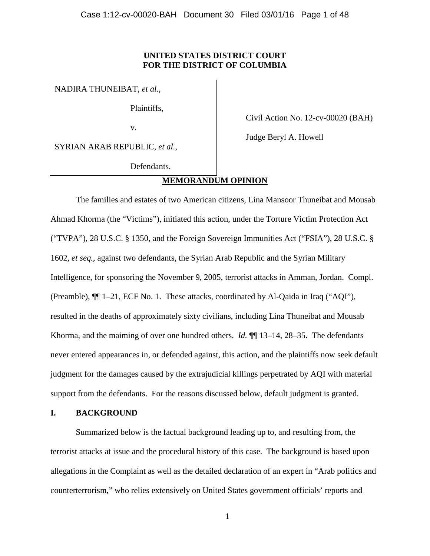# **UNITED STATES DISTRICT COURT FOR THE DISTRICT OF COLUMBIA**

NADIRA THUNEIBAT, *et al.*,

Plaintiffs,

v.

Civil Action No. 12-cv-00020 (BAH)

Judge Beryl A. Howell

SYRIAN ARAB REPUBLIC, *et al.*,

Defendants.

# **MEMORANDUM OPINION**

The families and estates of two American citizens, Lina Mansoor Thuneibat and Mousab Ahmad Khorma (the "Victims"), initiated this action, under the Torture Victim Protection Act ("TVPA"), 28 U.S.C. § 1350, and the Foreign Sovereign Immunities Act ("FSIA"), 28 U.S.C. § 1602, *et seq.*, against two defendants, the Syrian Arab Republic and the Syrian Military Intelligence, for sponsoring the November 9, 2005, terrorist attacks in Amman, Jordan. Compl. (Preamble), ¶¶ 1–21, ECF No. 1. These attacks, coordinated by Al-Qaida in Iraq ("AQI"), resulted in the deaths of approximately sixty civilians, including Lina Thuneibat and Mousab Khorma, and the maiming of over one hundred others. *Id.*  $\P$  13–14, 28–35. The defendants never entered appearances in, or defended against, this action, and the plaintiffs now seek default judgment for the damages caused by the extrajudicial killings perpetrated by AQI with material support from the defendants. For the reasons discussed below, default judgment is granted.

# **I. BACKGROUND**

Summarized below is the factual background leading up to, and resulting from, the terrorist attacks at issue and the procedural history of this case. The background is based upon allegations in the Complaint as well as the detailed declaration of an expert in "Arab politics and counterterrorism," who relies extensively on United States government officials' reports and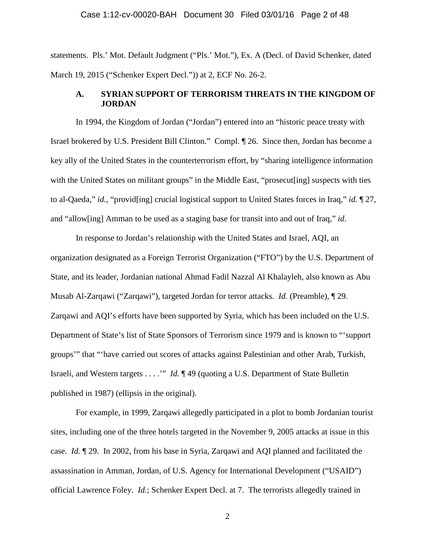#### Case 1:12-cv-00020-BAH Document 30 Filed 03/01/16 Page 2 of 48

statements. Pls.' Mot. Default Judgment ("Pls.' Mot."), Ex. A (Decl. of David Schenker, dated March 19, 2015 ("Schenker Expert Decl.")) at 2, ECF No. 26-2.

# **A. SYRIAN SUPPORT OF TERRORISM THREATS IN THE KINGDOM OF JORDAN**

In 1994, the Kingdom of Jordan ("Jordan") entered into an "historic peace treaty with Israel brokered by U.S. President Bill Clinton." Compl. ¶ 26. Since then, Jordan has become a key ally of the United States in the counterterrorism effort, by "sharing intelligence information with the United States on militant groups" in the Middle East, "prosecut [ing] suspects with ties to al-Qaeda," *id.*, "provid[ing] crucial logistical support to United States forces in Iraq," *id.* ¶ 27, and "allow[ing] Amman to be used as a staging base for transit into and out of Iraq," *id*.

In response to Jordan's relationship with the United States and Israel, AQI, an organization designated as a Foreign Terrorist Organization ("FTO") by the U.S. Department of State, and its leader, Jordanian national Ahmad Fadil Nazzal Al Khalayleh, also known as Abu Musab Al-Zarqawi ("Zarqawi"), targeted Jordan for terror attacks. *Id.* (Preamble), ¶ 29. Zarqawi and AQI's efforts have been supported by Syria, which has been included on the U.S. Department of State's list of State Sponsors of Terrorism since 1979 and is known to "'support groups'" that "'have carried out scores of attacks against Palestinian and other Arab, Turkish, Israeli, and Western targets . . . .'" *Id.* ¶ 49 (quoting a U.S. Department of State Bulletin published in 1987) (ellipsis in the original).

For example, in 1999, Zarqawi allegedly participated in a plot to bomb Jordanian tourist sites, including one of the three hotels targeted in the November 9, 2005 attacks at issue in this case. *Id.* ¶ 29. In 2002, from his base in Syria, Zarqawi and AQI planned and facilitated the assassination in Amman, Jordan, of U.S. Agency for International Development ("USAID") official Lawrence Foley. *Id.*; Schenker Expert Decl. at 7. The terrorists allegedly trained in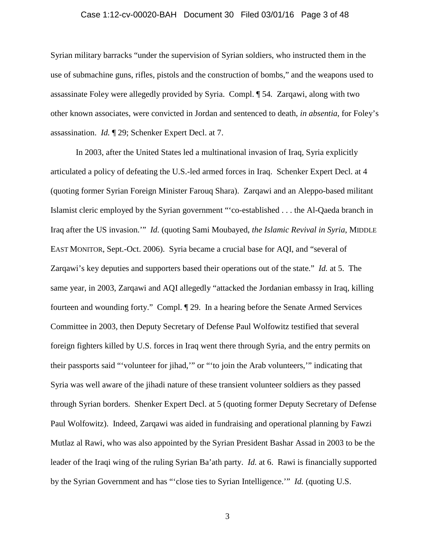#### Case 1:12-cv-00020-BAH Document 30 Filed 03/01/16 Page 3 of 48

Syrian military barracks "under the supervision of Syrian soldiers, who instructed them in the use of submachine guns, rifles, pistols and the construction of bombs," and the weapons used to assassinate Foley were allegedly provided by Syria. Compl. ¶ 54*.* Zarqawi, along with two other known associates, were convicted in Jordan and sentenced to death, *in absentia*, for Foley's assassination. *Id.* ¶ 29; Schenker Expert Decl. at 7.

In 2003, after the United States led a multinational invasion of Iraq, Syria explicitly articulated a policy of defeating the U.S.-led armed forces in Iraq. Schenker Expert Decl. at 4 (quoting former Syrian Foreign Minister Farouq Shara). Zarqawi and an Aleppo-based militant Islamist cleric employed by the Syrian government "'co-established . . . the Al-Qaeda branch in Iraq after the US invasion.'" *Id.* (quoting Sami Moubayed, *the Islamic Revival in Syria*, MIDDLE EAST MONITOR, Sept.-Oct. 2006). Syria became a crucial base for AQI, and "several of Zarqawi's key deputies and supporters based their operations out of the state." *Id.* at 5. The same year, in 2003, Zarqawi and AQI allegedly "attacked the Jordanian embassy in Iraq, killing fourteen and wounding forty." Compl. ¶ 29. In a hearing before the Senate Armed Services Committee in 2003, then Deputy Secretary of Defense Paul Wolfowitz testified that several foreign fighters killed by U.S. forces in Iraq went there through Syria, and the entry permits on their passports said "'volunteer for jihad,'" or "'to join the Arab volunteers,'" indicating that Syria was well aware of the jihadi nature of these transient volunteer soldiers as they passed through Syrian borders. Shenker Expert Decl. at 5 (quoting former Deputy Secretary of Defense Paul Wolfowitz). Indeed, Zarqawi was aided in fundraising and operational planning by Fawzi Mutlaz al Rawi, who was also appointed by the Syrian President Bashar Assad in 2003 to be the leader of the Iraqi wing of the ruling Syrian Ba'ath party. *Id.* at 6. Rawi is financially supported by the Syrian Government and has "'close ties to Syrian Intelligence.'" *Id.* (quoting U.S.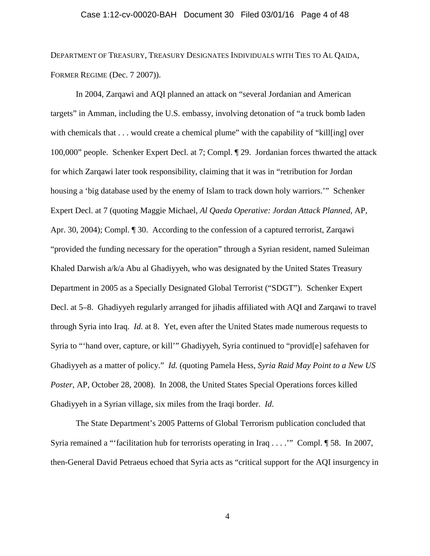# Case 1:12-cv-00020-BAH Document 30 Filed 03/01/16 Page 4 of 48

DEPARTMENT OF TREASURY, TREASURY DESIGNATES INDIVIDUALS WITH TIES TO AL QAIDA, FORMER REGIME (Dec. 7 2007)).

In 2004, Zarqawi and AQI planned an attack on "several Jordanian and American targets" in Amman, including the U.S. embassy, involving detonation of "a truck bomb laden with chemicals that . . . would create a chemical plume" with the capability of "kill[ing] over 100,000" people. Schenker Expert Decl. at 7; Compl. ¶ 29. Jordanian forces thwarted the attack for which Zarqawi later took responsibility, claiming that it was in "retribution for Jordan housing a 'big database used by the enemy of Islam to track down holy warriors.'" Schenker Expert Decl. at 7 (quoting Maggie Michael, *Al Qaeda Operative: Jordan Attack Planned*, AP, Apr. 30, 2004); Compl. ¶ 30. According to the confession of a captured terrorist, Zarqawi "provided the funding necessary for the operation" through a Syrian resident, named Suleiman Khaled Darwish a/k/a Abu al Ghadiyyeh, who was designated by the United States Treasury Department in 2005 as a Specially Designated Global Terrorist ("SDGT"). Schenker Expert Decl. at 5–8. Ghadiyyeh regularly arranged for jihadis affiliated with AQI and Zarqawi to travel through Syria into Iraq. *Id.* at 8. Yet, even after the United States made numerous requests to Syria to "'hand over, capture, or kill'" Ghadiyyeh, Syria continued to "provid[e] safehaven for Ghadiyyeh as a matter of policy." *Id.* (quoting Pamela Hess, *Syria Raid May Point to a New US Poster*, AP, October 28, 2008). In 2008, the United States Special Operations forces killed Ghadiyyeh in a Syrian village, six miles from the Iraqi border. *Id*.

The State Department's 2005 Patterns of Global Terrorism publication concluded that Syria remained a "'facilitation hub for terrorists operating in Iraq . . . .'" Compl. ¶ 58. In 2007, then-General David Petraeus echoed that Syria acts as "critical support for the AQI insurgency in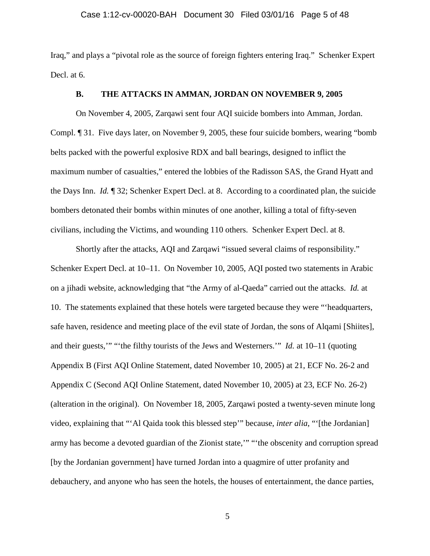#### Case 1:12-cv-00020-BAH Document 30 Filed 03/01/16 Page 5 of 48

Iraq," and plays a "pivotal role as the source of foreign fighters entering Iraq." Schenker Expert Decl. at 6.

# **B. THE ATTACKS IN AMMAN, JORDAN ON NOVEMBER 9, 2005**

On November 4, 2005, Zarqawi sent four AQI suicide bombers into Amman, Jordan. Compl. ¶ 31. Five days later, on November 9, 2005, these four suicide bombers, wearing "bomb belts packed with the powerful explosive RDX and ball bearings, designed to inflict the maximum number of casualties," entered the lobbies of the Radisson SAS, the Grand Hyatt and the Days Inn. *Id.* ¶ 32; Schenker Expert Decl. at 8. According to a coordinated plan, the suicide bombers detonated their bombs within minutes of one another, killing a total of fifty-seven civilians, including the Victims, and wounding 110 others. Schenker Expert Decl. at 8.

Shortly after the attacks, AQI and Zarqawi "issued several claims of responsibility." Schenker Expert Decl. at 10–11. On November 10, 2005, AQI posted two statements in Arabic on a jihadi website, acknowledging that "the Army of al-Qaeda" carried out the attacks. *Id.* at 10. The statements explained that these hotels were targeted because they were "'headquarters, safe haven, residence and meeting place of the evil state of Jordan, the sons of Alqami [Shiites], and their guests,'" "'the filthy tourists of the Jews and Westerners.'" *Id.* at 10–11 (quoting Appendix B (First AQI Online Statement, dated November 10, 2005) at 21, ECF No. 26-2 and Appendix C (Second AQI Online Statement, dated November 10, 2005) at 23, ECF No. 26-2) (alteration in the original). On November 18, 2005, Zarqawi posted a twenty-seven minute long video, explaining that "'Al Qaida took this blessed step'" because, *inter alia*, "'[the Jordanian] army has become a devoted guardian of the Zionist state,'" "'the obscenity and corruption spread [by the Jordanian government] have turned Jordan into a quagmire of utter profanity and debauchery, and anyone who has seen the hotels, the houses of entertainment, the dance parties,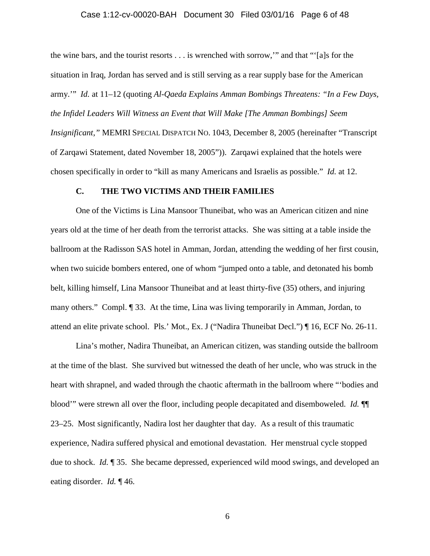# Case 1:12-cv-00020-BAH Document 30 Filed 03/01/16 Page 6 of 48

the wine bars, and the tourist resorts . . . is wrenched with sorrow,'" and that "'[a]s for the situation in Iraq, Jordan has served and is still serving as a rear supply base for the American army.'" *Id.* at 11–12 (quoting *Al-Qaeda Explains Amman Bombings Threatens: "In a Few Days, the Infidel Leaders Will Witness an Event that Will Make [The Amman Bombings] Seem Insignificant,"* MEMRI SPECIAL DISPATCH NO. 1043, December 8, 2005 (hereinafter "Transcript of Zarqawi Statement, dated November 18, 2005")). Zarqawi explained that the hotels were chosen specifically in order to "kill as many Americans and Israelis as possible." *Id.* at 12.

#### **C. THE TWO VICTIMS AND THEIR FAMILIES**

One of the Victims is Lina Mansoor Thuneibat, who was an American citizen and nine years old at the time of her death from the terrorist attacks. She was sitting at a table inside the ballroom at the Radisson SAS hotel in Amman, Jordan, attending the wedding of her first cousin, when two suicide bombers entered, one of whom "jumped onto a table, and detonated his bomb belt, killing himself, Lina Mansoor Thuneibat and at least thirty-five (35) others, and injuring many others." Compl. ¶ 33. At the time, Lina was living temporarily in Amman, Jordan, to attend an elite private school. Pls.' Mot., Ex. J ("Nadira Thuneibat Decl.") ¶ 16, ECF No. 26-11.

Lina's mother, Nadira Thuneibat, an American citizen, was standing outside the ballroom at the time of the blast. She survived but witnessed the death of her uncle, who was struck in the heart with shrapnel, and waded through the chaotic aftermath in the ballroom where "'bodies and blood'" were strewn all over the floor, including people decapitated and disemboweled. *Id.* ¶¶ 23–25. Most significantly, Nadira lost her daughter that day. As a result of this traumatic experience, Nadira suffered physical and emotional devastation. Her menstrual cycle stopped due to shock. *Id.* ¶ 35. She became depressed, experienced wild mood swings, and developed an eating disorder. *Id.* ¶ 46.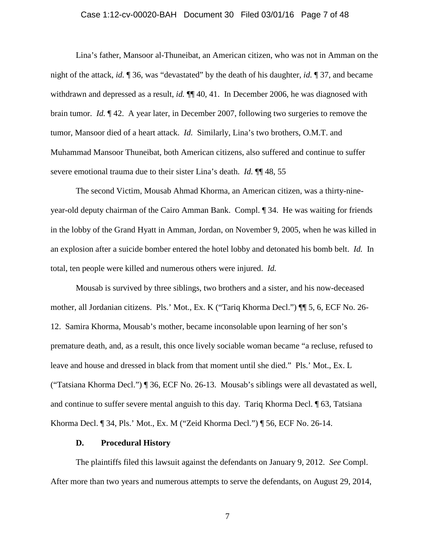# Case 1:12-cv-00020-BAH Document 30 Filed 03/01/16 Page 7 of 48

Lina's father, Mansoor al-Thuneibat, an American citizen, who was not in Amman on the night of the attack, *id.* ¶ 36, was "devastated" by the death of his daughter, *id.* ¶ 37, and became withdrawn and depressed as a result, *id.*  $\P$  40, 41. In December 2006, he was diagnosed with brain tumor. *Id.* ¶ 42. A year later, in December 2007, following two surgeries to remove the tumor, Mansoor died of a heart attack. *Id.* Similarly, Lina's two brothers, O.M.T. and Muhammad Mansoor Thuneibat, both American citizens, also suffered and continue to suffer severe emotional trauma due to their sister Lina's death. *Id.* ¶¶ 48, 55

The second Victim, Mousab Ahmad Khorma, an American citizen, was a thirty-nineyear-old deputy chairman of the Cairo Amman Bank. Compl. ¶ 34. He was waiting for friends in the lobby of the Grand Hyatt in Amman, Jordan, on November 9, 2005, when he was killed in an explosion after a suicide bomber entered the hotel lobby and detonated his bomb belt. *Id.* In total, ten people were killed and numerous others were injured. *Id.* 

Mousab is survived by three siblings, two brothers and a sister, and his now-deceased mother, all Jordanian citizens. Pls.' Mot., Ex. K ("Tariq Khorma Decl.") ¶¶ 5, 6, ECF No. 26- 12. Samira Khorma, Mousab's mother, became inconsolable upon learning of her son's premature death, and, as a result, this once lively sociable woman became "a recluse, refused to leave and house and dressed in black from that moment until she died." Pls.' Mot., Ex. L ("Tatsiana Khorma Decl.") ¶ 36, ECF No. 26-13. Mousab's siblings were all devastated as well, and continue to suffer severe mental anguish to this day. Tariq Khorma Decl. ¶ 63, Tatsiana Khorma Decl. ¶ 34, Pls.' Mot., Ex. M ("Zeid Khorma Decl.") ¶ 56, ECF No. 26-14.

#### **D. Procedural History**

The plaintiffs filed this lawsuit against the defendants on January 9, 2012. *See* Compl. After more than two years and numerous attempts to serve the defendants, on August 29, 2014,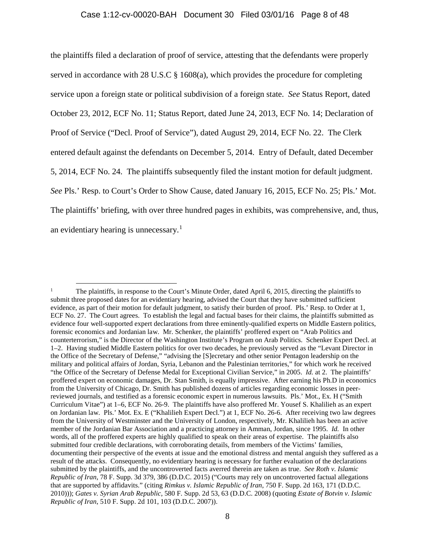#### Case 1:12-cv-00020-BAH Document 30 Filed 03/01/16 Page 8 of 48

the plaintiffs filed a declaration of proof of service, attesting that the defendants were properly served in accordance with 28 U.S.C  $\S$  1608(a), which provides the procedure for completing service upon a foreign state or political subdivision of a foreign state. *See* Status Report, dated October 23, 2012, ECF No. 11; Status Report, dated June 24, 2013, ECF No. 14; Declaration of Proof of Service ("Decl. Proof of Service"), dated August 29, 2014, ECF No. 22. The Clerk entered default against the defendants on December 5, 2014. Entry of Default, dated December 5, 2014, ECF No. 24. The plaintiffs subsequently filed the instant motion for default judgment. *See* Pls.' Resp. to Court's Order to Show Cause, dated January 16, 2015, ECF No. 25; Pls.' Mot. The plaintiffs' briefing, with over three hundred pages in exhibits, was comprehensive, and, thus, an evidentiary hearing is unnecessary.[1](#page-7-0)

<span id="page-7-0"></span><sup>&</sup>lt;sup>1</sup> The plaintiffs, in response to the Court's Minute Order, dated April 6, 2015, directing the plaintiffs to submit three proposed dates for an evidentiary hearing, advised the Court that they have submitted sufficient evidence, as part of their motion for default judgment, to satisfy their burden of proof. Pls.' Resp. to Order at 1, ECF No. 27. The Court agrees. To establish the legal and factual bases for their claims, the plaintiffs submitted as evidence four well-supported expert declarations from three eminently-qualified experts on Middle Eastern politics, forensic economics and Jordanian law. Mr. Schenker, the plaintiffs' proffered expert on "Arab Politics and counterterrorism," is the Director of the Washington Institute's Program on Arab Politics. Schenker Expert Decl. at 1–2. Having studied Middle Eastern politics for over two decades, he previously served as the "Levant Director in the Office of the Secretary of Defense," "advising the [S]ecretary and other senior Pentagon leadership on the military and political affairs of Jordan, Syria, Lebanon and the Palestinian territories," for which work he received "the Office of the Secretary of Defense Medal for Exceptional Civilian Service," in 2005. *Id.* at 2. The plaintiffs' proffered expert on economic damages, Dr. Stan Smith, is equally impressive. After earning his Ph.D in economics from the University of Chicago, Dr. Smith has published dozens of articles regarding economic losses in peerreviewed journals, and testified as a forensic economic expert in numerous lawsuits. Pls.' Mot., Ex. H ("Smith Curriculum Vitae") at 1–6, ECF No. 26-9. The plaintiffs have also proffered Mr. Yousef S. Khalilieh as an expert on Jordanian law. Pls.' Mot. Ex. E ("Khalilieh Expert Decl.") at 1, ECF No. 26-6. After receiving two law degrees from the University of Westminster and the University of London, respectively, Mr. Khalilieh has been an active member of the Jordanian Bar Association and a practicing attorney in Amman, Jordan, since 1995. *Id.* In other words, all of the proffered experts are highly qualified to speak on their areas of expertise. The plaintiffs also submitted four credible declarations, with corroborating details, from members of the Victims' families, documenting their perspective of the events at issue and the emotional distress and mental anguish they suffered as a result of the attacks. Consequently, no evidentiary hearing is necessary for further evaluation of the declarations submitted by the plaintiffs, and the uncontroverted facts averred therein are taken as true. *See Roth v. Islamic Republic of Iran*, 78 F. Supp. 3d 379, 386 (D.D.C. 2015) ("Courts may rely on uncontroverted factual allegations that are supported by affidavits." (citing *Rimkus v. Islamic Republic of Iran*, 750 F. Supp. 2d 163, 171 (D.D.C. 2010))); *Gates v. Syrian Arab Republic*, 580 F. Supp. 2d 53, 63 (D.D.C. 2008) (quoting *Estate of Botvin v. Islamic Republic of Iran*, 510 F. Supp. 2d 101, 103 (D.D.C. 2007)).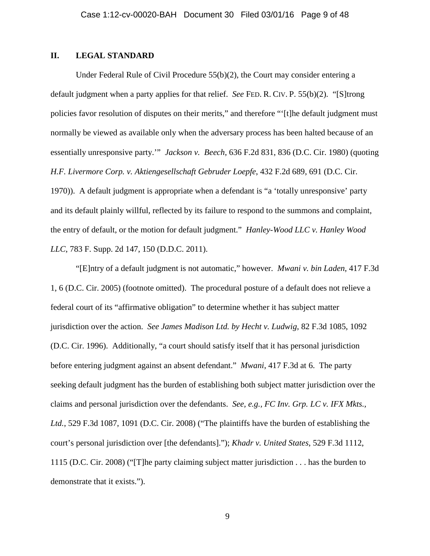# **II. LEGAL STANDARD**

Under Federal Rule of Civil Procedure  $55(b)(2)$ , the Court may consider entering a default judgment when a party applies for that relief. *See* FED. R. CIV. P. 55(b)(2). "[S]trong policies favor resolution of disputes on their merits," and therefore "'[t]he default judgment must normally be viewed as available only when the adversary process has been halted because of an essentially unresponsive party.'" *Jackson v. Beech*, 636 F.2d 831, 836 (D.C. Cir. 1980) (quoting *H.F. Livermore Corp. v. Aktiengesellschaft Gebruder Loepfe*, 432 F.2d 689, 691 (D.C. Cir. 1970)). A default judgment is appropriate when a defendant is "a 'totally unresponsive' party and its default plainly willful, reflected by its failure to respond to the summons and complaint, the entry of default, or the motion for default judgment." *Hanley-Wood LLC v. Hanley Wood LLC*, 783 F. Supp. 2d 147, 150 (D.D.C. 2011).

"[E]ntry of a default judgment is not automatic," however. *Mwani v. bin Laden*, 417 F.3d 1, 6 (D.C. Cir. 2005) (footnote omitted). The procedural posture of a default does not relieve a federal court of its "affirmative obligation" to determine whether it has subject matter jurisdiction over the action. *See James Madison Ltd. by Hecht v. Ludwig*, 82 F.3d 1085, 1092 (D.C. Cir. 1996). Additionally, "a court should satisfy itself that it has personal jurisdiction before entering judgment against an absent defendant." *Mwani*, 417 F.3d at 6. The party seeking default judgment has the burden of establishing both subject matter jurisdiction over the claims and personal jurisdiction over the defendants. *See, e.g., FC Inv. Grp. LC v. IFX Mkts., Ltd.*, 529 F.3d 1087, 1091 (D.C. Cir. 2008) ("The plaintiffs have the burden of establishing the court's personal jurisdiction over [the defendants]."); *Khadr v. United States*, 529 F.3d 1112, 1115 (D.C. Cir. 2008) ("[T]he party claiming subject matter jurisdiction . . . has the burden to demonstrate that it exists.").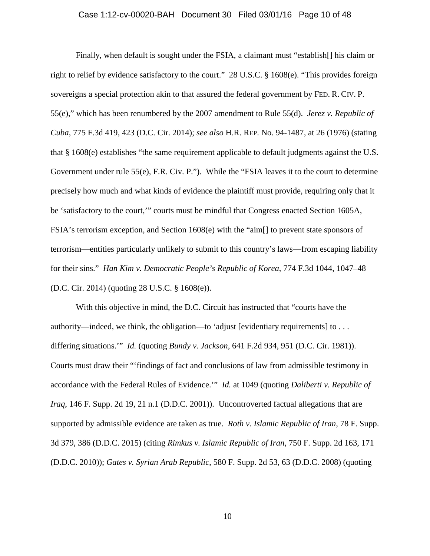# Case 1:12-cv-00020-BAH Document 30 Filed 03/01/16 Page 10 of 48

Finally, when default is sought under the FSIA, a claimant must "establish[] his claim or right to relief by evidence satisfactory to the court." 28 U.S.C. § 1608(e). "This provides foreign sovereigns a special protection akin to that assured the federal government by FED. R. CIV. P. 55(e)," which has been renumbered by the 2007 amendment to Rule 55(d). *Jerez v. Republic of Cuba*, 775 F.3d 419, 423 (D.C. Cir. 2014); *see also* H.R. REP. No. 94-1487, at 26 (1976) (stating that § 1608(e) establishes "the same requirement applicable to default judgments against the U.S. Government under rule 55(e), F.R. Civ. P."). While the "FSIA leaves it to the court to determine precisely how much and what kinds of evidence the plaintiff must provide, requiring only that it be 'satisfactory to the court,'" courts must be mindful that Congress enacted Section 1605A, FSIA's terrorism exception, and Section 1608(e) with the "aim[] to prevent state sponsors of terrorism—entities particularly unlikely to submit to this country's laws—from escaping liability for their sins." *Han Kim v. Democratic People's Republic of Korea*, 774 F.3d 1044, 1047–48 (D.C. Cir. 2014) (quoting 28 U.S.C. § 1608(e)).

With this objective in mind, the D.C. Circuit has instructed that "courts have the authority—indeed, we think, the obligation—to 'adjust [evidentiary requirements] to . . . differing situations.'" *Id.* (quoting *Bundy v. Jackson*, 641 F.2d 934, 951 (D.C. Cir. 1981)). Courts must draw their "'findings of fact and conclusions of law from admissible testimony in accordance with the Federal Rules of Evidence.'" *Id.* at 1049 (quoting *Daliberti v. Republic of Iraq*, 146 F. Supp. 2d 19, 21 n.1 (D.D.C. 2001)). Uncontroverted factual allegations that are supported by admissible evidence are taken as true. *Roth v. Islamic Republic of Iran*, 78 F. Supp. 3d 379, 386 (D.D.C. 2015) (citing *Rimkus v. Islamic Republic of Iran*, 750 F. Supp. 2d 163, 171 (D.D.C. 2010)); *Gates v. Syrian Arab Republic*, 580 F. Supp. 2d 53, 63 (D.D.C. 2008) (quoting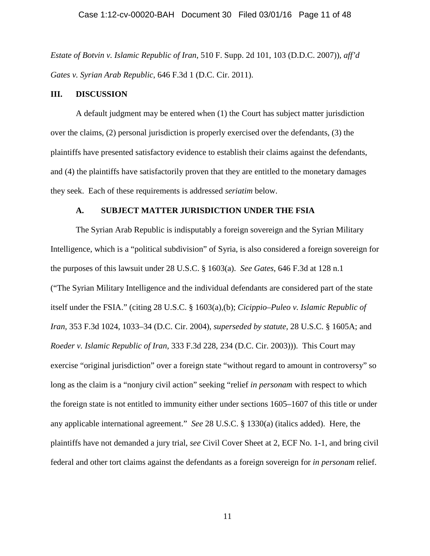*Estate of Botvin v. Islamic Republic of Iran*, 510 F. Supp. 2d 101, 103 (D.D.C. 2007)), *aff'd Gates v. Syrian Arab Republic*, 646 F.3d 1 (D.C. Cir. 2011).

#### **III. DISCUSSION**

A default judgment may be entered when (1) the Court has subject matter jurisdiction over the claims, (2) personal jurisdiction is properly exercised over the defendants, (3) the plaintiffs have presented satisfactory evidence to establish their claims against the defendants, and (4) the plaintiffs have satisfactorily proven that they are entitled to the monetary damages they seek. Each of these requirements is addressed *seriatim* below.

# **A. SUBJECT MATTER JURISDICTION UNDER THE FSIA**

The Syrian Arab Republic is indisputably a foreign sovereign and the Syrian Military Intelligence, which is a "political subdivision" of Syria, is also considered a foreign sovereign for the purposes of this lawsuit under 28 U.S.C. § 1603(a). *See Gates*, 646 F.3d at 128 n.1 ("The Syrian Military Intelligence and the individual defendants are considered part of the state itself under the FSIA." (citing 28 U.S.C. § 1603(a),(b); *Cicippio–Puleo v. Islamic Republic of Iran,* 353 F.3d 1024, 1033–34 (D.C. Cir. 2004), *superseded by statute,* 28 U.S.C. § 1605A; and *Roeder v. Islamic Republic of Iran,* 333 F.3d 228, 234 (D.C. Cir. 2003))). This Court may exercise "original jurisdiction" over a foreign state "without regard to amount in controversy" so long as the claim is a "nonjury civil action" seeking "relief *in personam* with respect to which the foreign state is not entitled to immunity either under sections 1605–1607 of this title or under any applicable international agreement." *See* 28 U.S.C. § 1330(a) (italics added). Here, the plaintiffs have not demanded a jury trial, *see* Civil Cover Sheet at 2, ECF No. 1-1, and bring civil federal and other tort claims against the defendants as a foreign sovereign for *in personam* relief.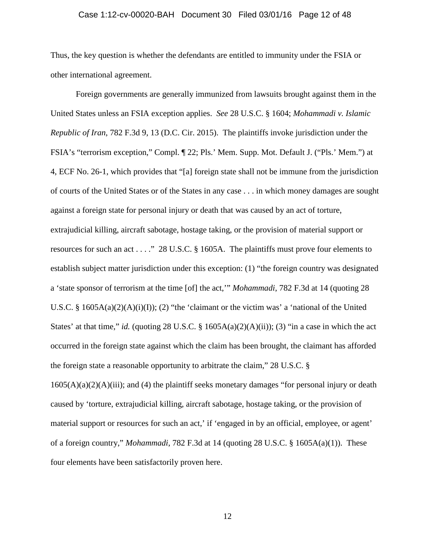#### Case 1:12-cv-00020-BAH Document 30 Filed 03/01/16 Page 12 of 48

Thus, the key question is whether the defendants are entitled to immunity under the FSIA or other international agreement.

Foreign governments are generally immunized from lawsuits brought against them in the United States unless an FSIA exception applies. *See* 28 U.S.C. § 1604; *Mohammadi v. Islamic Republic of Iran*, 782 F.3d 9, 13 (D.C. Cir. 2015). The plaintiffs invoke jurisdiction under the FSIA's "terrorism exception," Compl. ¶ 22; Pls.' Mem. Supp. Mot. Default J. ("Pls.' Mem.") at 4, ECF No. 26-1, which provides that "[a] foreign state shall not be immune from the jurisdiction of courts of the United States or of the States in any case . . . in which money damages are sought against a foreign state for personal injury or death that was caused by an act of torture, extrajudicial killing, aircraft sabotage, hostage taking, or the provision of material support or resources for such an act . . . ." 28 U.S.C. § 1605A. The plaintiffs must prove four elements to establish subject matter jurisdiction under this exception: (1) "the foreign country was designated a 'state sponsor of terrorism at the time [of] the act,'" *Mohammadi*, 782 F.3d at 14 (quoting 28 U.S.C. § 1605A(a)(2)(A)(i)(I)); (2) "the 'claimant or the victim was' a 'national of the United States' at that time," *id.* (quoting 28 U.S.C.  $\S$  1605A(a)(2)(A)(ii)); (3) "in a case in which the act occurred in the foreign state against which the claim has been brought, the claimant has afforded the foreign state a reasonable opportunity to arbitrate the claim," 28 U.S.C. §  $1605(A)(a)(2)(A)(iii)$ ; and (4) the plaintiff seeks monetary damages "for personal injury or death caused by 'torture, extrajudicial killing, aircraft sabotage, hostage taking, or the provision of material support or resources for such an act,' if 'engaged in by an official, employee, or agent' of a foreign country," *Mohammadi*, 782 F.3d at 14 (quoting 28 U.S.C. § 1605A(a)(1)). These four elements have been satisfactorily proven here.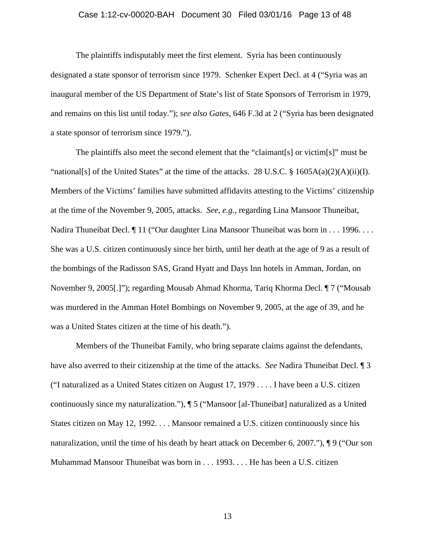# Case 1:12-cv-00020-BAH Document 30 Filed 03/01/16 Page 13 of 48

The plaintiffs indisputably meet the first element. Syria has been continuously designated a state sponsor of terrorism since 1979. Schenker Expert Decl. at 4 ("Syria was an inaugural member of the US Department of State's list of State Sponsors of Terrorism in 1979, and remains on this list until today."); *see also Gates*, 646 F.3d at 2 ("Syria has been designated a state sponsor of terrorism since 1979.").

The plaintiffs also meet the second element that the "claimant[s] or victim[s]" must be "national[s] of the United States" at the time of the attacks. 28 U.S.C. § 1605A(a)(2)(A)(ii)(I). Members of the Victims' families have submitted affidavits attesting to the Victims' citizenship at the time of the November 9, 2005, attacks. *See*, *e.g.,* regarding Lina Mansoor Thuneibat, Nadira Thuneibat Decl. ¶ 11 ("Our daughter Lina Mansoor Thuneibat was born in . . . 1996. . . . She was a U.S. citizen continuously since her birth, until her death at the age of 9 as a result of the bombings of the Radisson SAS, Grand Hyatt and Days Inn hotels in Amman, Jordan, on November 9, 2005[.]"); regarding Mousab Ahmad Khorma, Tariq Khorma Decl. ¶ 7 ("Mousab was murdered in the Amman Hotel Bombings on November 9, 2005, at the age of 39, and he was a United States citizen at the time of his death.").

Members of the Thuneibat Family, who bring separate claims against the defendants, have also averred to their citizenship at the time of the attacks. *See* Nadira Thuneibat Decl. ¶ 3 ("I naturalized as a United States citizen on August 17, 1979 . . . . I have been a U.S. citizen continuously since my naturalization."), ¶ 5 ("Mansoor [al-Thuneibat] naturalized as a United States citizen on May 12, 1992. . . . Mansoor remained a U.S. citizen continuously since his naturalization, until the time of his death by heart attack on December 6, 2007."), ¶ 9 ("Our son Muhammad Mansoor Thuneibat was born in . . . 1993. . . . He has been a U.S. citizen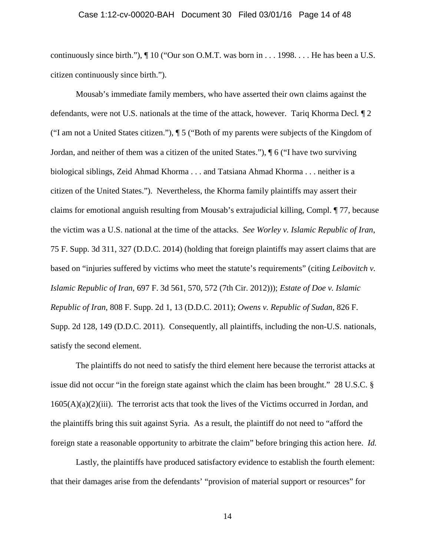# Case 1:12-cv-00020-BAH Document 30 Filed 03/01/16 Page 14 of 48

continuously since birth."), ¶ 10 ("Our son O.M.T. was born in . . . 1998. . . . He has been a U.S. citizen continuously since birth.").

Mousab's immediate family members, who have asserted their own claims against the defendants, were not U.S. nationals at the time of the attack, however. Tariq Khorma Decl*.* ¶ 2 ("I am not a United States citizen."), ¶ 5 ("Both of my parents were subjects of the Kingdom of Jordan, and neither of them was a citizen of the united States."), ¶ 6 ("I have two surviving biological siblings, Zeid Ahmad Khorma . . . and Tatsiana Ahmad Khorma . . . neither is a citizen of the United States."). Nevertheless, the Khorma family plaintiffs may assert their claims for emotional anguish resulting from Mousab's extrajudicial killing, Compl. ¶ 77, because the victim was a U.S. national at the time of the attacks. *See Worley v. Islamic Republic of Iran*, 75 F. Supp. 3d 311, 327 (D.D.C. 2014) (holding that foreign plaintiffs may assert claims that are based on "injuries suffered by victims who meet the statute's requirements" (citing *Leibovitch v. Islamic Republic of Iran*, 697 F. 3d 561, 570, 572 (7th Cir. 2012))); *Estate of Doe v. Islamic Republic of Iran*, 808 F. Supp. 2d 1, 13 (D.D.C. 2011); *Owens v. Republic of Sudan*, 826 F. Supp. 2d 128, 149 (D.D.C. 2011). Consequently, all plaintiffs, including the non-U.S. nationals, satisfy the second element.

The plaintiffs do not need to satisfy the third element here because the terrorist attacks at issue did not occur "in the foreign state against which the claim has been brought." 28 U.S.C. §  $1605(A)(a)(2)(iii)$ . The terrorist acts that took the lives of the Victims occurred in Jordan, and the plaintiffs bring this suit against Syria. As a result, the plaintiff do not need to "afford the foreign state a reasonable opportunity to arbitrate the claim" before bringing this action here. *Id.* 

Lastly, the plaintiffs have produced satisfactory evidence to establish the fourth element: that their damages arise from the defendants' "provision of material support or resources" for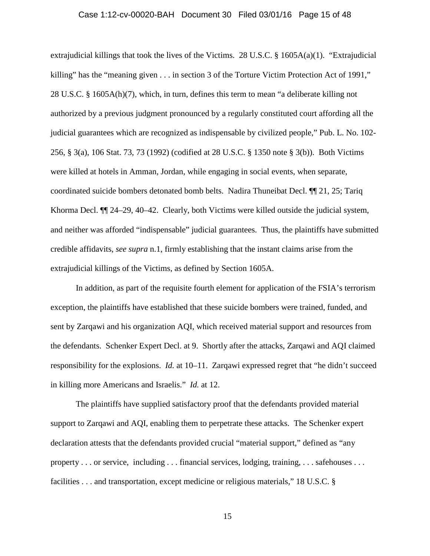# Case 1:12-cv-00020-BAH Document 30 Filed 03/01/16 Page 15 of 48

extrajudicial killings that took the lives of the Victims. 28 U.S.C.  $\S$  1605A(a)(1). "Extrajudicial killing" has the "meaning given . . . in section 3 of the Torture Victim Protection Act of 1991," 28 U.S.C. § 1605A(h)(7), which, in turn, defines this term to mean "a deliberate killing not authorized by a previous judgment pronounced by a regularly constituted court affording all the judicial guarantees which are recognized as indispensable by civilized people," Pub. L. No. 102- 256, § 3(a), 106 Stat. 73, 73 (1992) (codified at 28 U.S.C. § 1350 note § 3(b)). Both Victims were killed at hotels in Amman, Jordan, while engaging in social events, when separate, coordinated suicide bombers detonated bomb belts. Nadira Thuneibat Decl. ¶¶ 21, 25; Tariq Khorma Decl. ¶¶ 24–29, 40–42. Clearly, both Victims were killed outside the judicial system, and neither was afforded "indispensable" judicial guarantees. Thus, the plaintiffs have submitted credible affidavits, *see supra* n.1, firmly establishing that the instant claims arise from the extrajudicial killings of the Victims, as defined by Section 1605A.

In addition, as part of the requisite fourth element for application of the FSIA's terrorism exception, the plaintiffs have established that these suicide bombers were trained, funded, and sent by Zarqawi and his organization AQI, which received material support and resources from the defendants. Schenker Expert Decl. at 9. Shortly after the attacks, Zarqawi and AQI claimed responsibility for the explosions. *Id.* at 10–11. Zarqawi expressed regret that "he didn't succeed in killing more Americans and Israelis." *Id.* at 12.

The plaintiffs have supplied satisfactory proof that the defendants provided material support to Zarqawi and AQI, enabling them to perpetrate these attacks. The Schenker expert declaration attests that the defendants provided crucial "material support," defined as "any property . . . or service, including . . . financial services, lodging, training, . . . safehouses . . . facilities . . . and transportation, except medicine or religious materials," 18 U.S.C. §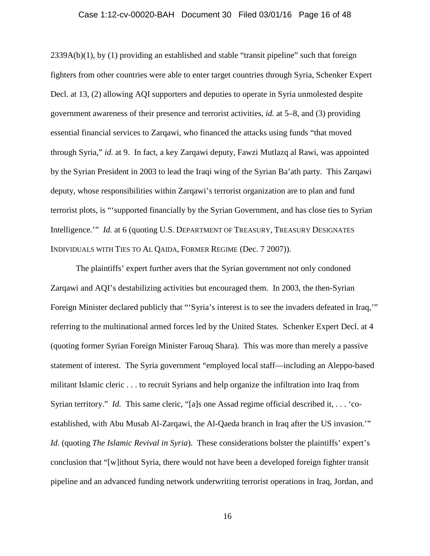#### Case 1:12-cv-00020-BAH Document 30 Filed 03/01/16 Page 16 of 48

2339A(b)(1), by (1) providing an established and stable "transit pipeline" such that foreign fighters from other countries were able to enter target countries through Syria, Schenker Expert Decl. at 13, (2) allowing AQI supporters and deputies to operate in Syria unmolested despite government awareness of their presence and terrorist activities, *id.* at 5–8, and (3) providing essential financial services to Zarqawi, who financed the attacks using funds "that moved through Syria," *id.* at 9. In fact, a key Zarqawi deputy, Fawzi Mutlazq al Rawi, was appointed by the Syrian President in 2003 to lead the Iraqi wing of the Syrian Ba'ath party. This Zarqawi deputy, whose responsibilities within Zarqawi's terrorist organization are to plan and fund terrorist plots, is "'supported financially by the Syrian Government, and has close ties to Syrian Intelligence." *Id.* at 6 (quoting U.S. DEPARTMENT OF TREASURY, TREASURY DESIGNATES INDIVIDUALS WITH TIES TO AL QAIDA, FORMER REGIME (Dec. 7 2007)).

The plaintiffs' expert further avers that the Syrian government not only condoned Zarqawi and AQI's destabilizing activities but encouraged them. In 2003, the then-Syrian Foreign Minister declared publicly that "'Syria's interest is to see the invaders defeated in Iraq,'" referring to the multinational armed forces led by the United States. Schenker Expert Decl. at 4 (quoting former Syrian Foreign Minister Farouq Shara). This was more than merely a passive statement of interest. The Syria government "employed local staff—including an Aleppo-based militant Islamic cleric . . . to recruit Syrians and help organize the infiltration into Iraq from Syrian territory." *Id.* This same cleric, "[a]s one Assad regime official described it, . . . 'coestablished, with Abu Musab Al-Zarqawi, the Al-Qaeda branch in Iraq after the US invasion.'" *Id.* (quoting *The Islamic Revival in Syria*). These considerations bolster the plaintiffs' expert's conclusion that "[w]ithout Syria, there would not have been a developed foreign fighter transit pipeline and an advanced funding network underwriting terrorist operations in Iraq, Jordan, and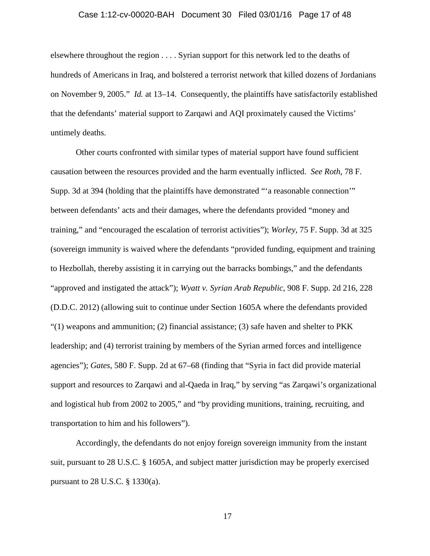# Case 1:12-cv-00020-BAH Document 30 Filed 03/01/16 Page 17 of 48

elsewhere throughout the region . . . . Syrian support for this network led to the deaths of hundreds of Americans in Iraq, and bolstered a terrorist network that killed dozens of Jordanians on November 9, 2005." *Id.* at 13–14. Consequently, the plaintiffs have satisfactorily established that the defendants' material support to Zarqawi and AQI proximately caused the Victims' untimely deaths.

Other courts confronted with similar types of material support have found sufficient causation between the resources provided and the harm eventually inflicted. *See Roth*, 78 F. Supp. 3d at 394 (holding that the plaintiffs have demonstrated "'a reasonable connection'" between defendants' acts and their damages, where the defendants provided "money and training," and "encouraged the escalation of terrorist activities"); *Worley*, 75 F. Supp. 3d at 325 (sovereign immunity is waived where the defendants "provided funding, equipment and training to Hezbollah, thereby assisting it in carrying out the barracks bombings," and the defendants "approved and instigated the attack"); *Wyatt v. Syrian Arab Republic*, 908 F. Supp. 2d 216, 228 (D.D.C. 2012) (allowing suit to continue under Section 1605A where the defendants provided  $\lq(1)$  weapons and ammunition; (2) financial assistance; (3) safe haven and shelter to PKK leadership; and (4) terrorist training by members of the Syrian armed forces and intelligence agencies"); *Gates*, 580 F. Supp. 2d at 67–68 (finding that "Syria in fact did provide material support and resources to Zarqawi and al-Qaeda in Iraq," by serving "as Zarqawi's organizational and logistical hub from 2002 to 2005," and "by providing munitions, training, recruiting, and transportation to him and his followers").

Accordingly, the defendants do not enjoy foreign sovereign immunity from the instant suit, pursuant to 28 U.S.C. § 1605A, and subject matter jurisdiction may be properly exercised pursuant to 28 U.S.C. § 1330(a).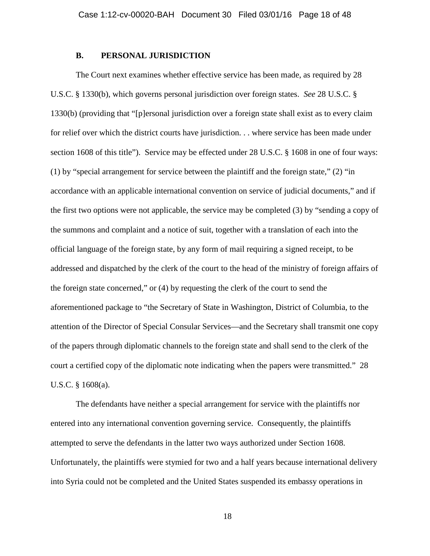# **B. PERSONAL JURISDICTION**

The Court next examines whether effective service has been made, as required by 28 U.S.C. § 1330(b), which governs personal jurisdiction over foreign states. *See* 28 U.S.C. § 1330(b) (providing that "[p]ersonal jurisdiction over a foreign state shall exist as to every claim for relief over which the district courts have jurisdiction. . . where service has been made under section 1608 of this title"). Service may be effected under 28 U.S.C. § 1608 in one of four ways: (1) by "special arrangement for service between the plaintiff and the foreign state," (2) "in accordance with an applicable international convention on service of judicial documents," and if the first two options were not applicable, the service may be completed (3) by "sending a copy of the summons and complaint and a notice of suit, together with a translation of each into the official language of the foreign state, by any form of mail requiring a signed receipt, to be addressed and dispatched by the clerk of the court to the head of the ministry of foreign affairs of the foreign state concerned," or (4) by requesting the clerk of the court to send the aforementioned package to "the Secretary of State in Washington, District of Columbia, to the attention of the Director of Special Consular Services—and the Secretary shall transmit one copy of the papers through diplomatic channels to the foreign state and shall send to the clerk of the court a certified copy of the diplomatic note indicating when the papers were transmitted." 28 U.S.C. § 1608(a).

The defendants have neither a special arrangement for service with the plaintiffs nor entered into any international convention governing service. Consequently, the plaintiffs attempted to serve the defendants in the latter two ways authorized under Section 1608. Unfortunately, the plaintiffs were stymied for two and a half years because international delivery into Syria could not be completed and the United States suspended its embassy operations in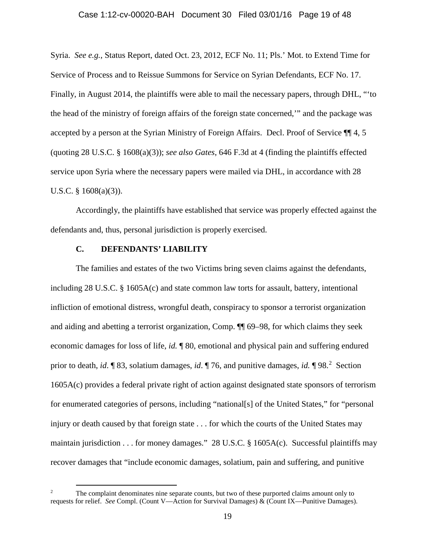#### Case 1:12-cv-00020-BAH Document 30 Filed 03/01/16 Page 19 of 48

Syria. *See e.g.*, Status Report, dated Oct. 23, 2012, ECF No. 11; Pls.' Mot. to Extend Time for Service of Process and to Reissue Summons for Service on Syrian Defendants, ECF No. 17. Finally, in August 2014, the plaintiffs were able to mail the necessary papers, through DHL, "'to the head of the ministry of foreign affairs of the foreign state concerned,'" and the package was accepted by a person at the Syrian Ministry of Foreign Affairs. Decl. Proof of Service ¶¶ 4, 5 (quoting 28 U.S.C. § 1608(a)(3)); *see also Gates*, 646 F.3d at 4 (finding the plaintiffs effected service upon Syria where the necessary papers were mailed via DHL, in accordance with 28 U.S.C. § 1608(a)(3)).

Accordingly, the plaintiffs have established that service was properly effected against the defendants and, thus, personal jurisdiction is properly exercised.

# **C. DEFENDANTS' LIABILITY**

The families and estates of the two Victims bring seven claims against the defendants, including 28 U.S.C. § 1605A(c) and state common law torts for assault, battery, intentional infliction of emotional distress, wrongful death, conspiracy to sponsor a terrorist organization and aiding and abetting a terrorist organization, Comp. ¶¶ 69–98, for which claims they seek economic damages for loss of life, *id.* ¶ 80, emotional and physical pain and suffering endured prior to death, *id*. **[83, solatium damages,** *id***. [76, and punitive damages,** *id***.** [98.<sup>[2](#page-18-0)</sup> Section 1605A(c) provides a federal private right of action against designated state sponsors of terrorism for enumerated categories of persons, including "national[s] of the United States," for "personal injury or death caused by that foreign state . . . for which the courts of the United States may maintain jurisdiction  $\dots$  for money damages." 28 U.S.C. § 1605A(c). Successful plaintiffs may recover damages that "include economic damages, solatium, pain and suffering, and punitive

<span id="page-18-0"></span><sup>&</sup>lt;sup>2</sup> The complaint denominates nine separate counts, but two of these purported claims amount only to requests for relief. *See* Compl. (Count V—Action for Survival Damages) & (Count IX—Punitive Damages).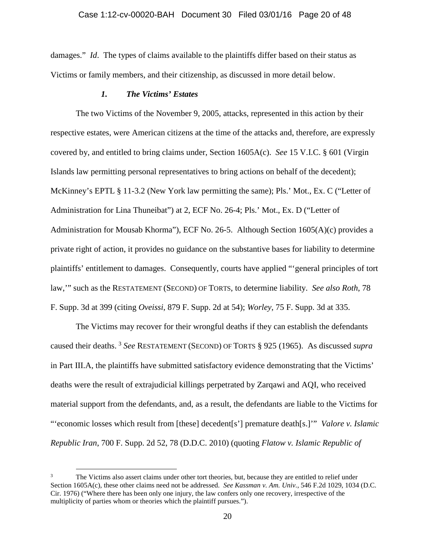damages." *Id*. The types of claims available to the plaintiffs differ based on their status as Victims or family members, and their citizenship, as discussed in more detail below.

# *1. The Victims' Estates*

The two Victims of the November 9, 2005, attacks, represented in this action by their respective estates, were American citizens at the time of the attacks and, therefore, are expressly covered by, and entitled to bring claims under, Section 1605A(c). *See* 15 V.I.C. § 601 (Virgin Islands law permitting personal representatives to bring actions on behalf of the decedent); McKinney's EPTL § 11-3.2 (New York law permitting the same); Pls.' Mot., Ex. C ("Letter of Administration for Lina Thuneibat") at 2, ECF No. 26-4; Pls.' Mot., Ex. D ("Letter of Administration for Mousab Khorma"), ECF No. 26-5. Although Section 1605(A)(c) provides a private right of action, it provides no guidance on the substantive bases for liability to determine plaintiffs' entitlement to damages. Consequently, courts have applied "'general principles of tort law,'" such as the RESTATEMENT (SECOND) OF TORTS, to determine liability. *See also Roth*, 78 F. Supp. 3d at 399 (citing *Oveissi*, 879 F. Supp. 2d at 54); *Worley*, 75 F. Supp. 3d at 335.

The Victims may recover for their wrongful deaths if they can establish the defendants caused their deaths. [3](#page-19-0) *See* RESTATEMENT (SECOND) OF TORTS § 925 (1965). As discussed *supra*  in Part III.A, the plaintiffs have submitted satisfactory evidence demonstrating that the Victims' deaths were the result of extrajudicial killings perpetrated by Zarqawi and AQI, who received material support from the defendants, and, as a result, the defendants are liable to the Victims for "'economic losses which result from [these] decedent[s'] premature death[s.]'" *Valore v. Islamic Republic Iran*, 700 F. Supp. 2d 52, 78 (D.D.C. 2010) (quoting *Flatow v. Islamic Republic of* 

<span id="page-19-0"></span>The Victims also assert claims under other tort theories, but, because they are entitled to relief under Section 1605A(c), these other claims need not be addressed. *See Kassman v. Am. Univ.*, 546 F.2d 1029, 1034 (D.C. Cir. 1976) ("Where there has been only one injury, the law confers only one recovery, irrespective of the multiplicity of parties whom or theories which the plaintiff pursues.").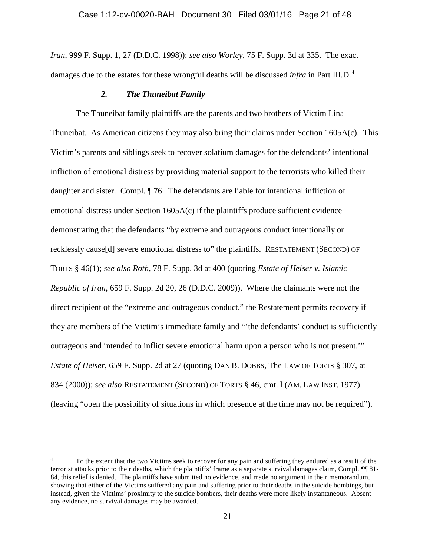*Iran*, 999 F. Supp. 1, 27 (D.D.C. 1998)); *see also Worley*, 75 F. Supp. 3d at 335. The exact damages due to the estates for these wrongful deaths will be discussed *infra* in Part III.D.<sup>[4](#page-20-0)</sup>

# *2. The Thuneibat Family*

The Thuneibat family plaintiffs are the parents and two brothers of Victim Lina Thuneibat. As American citizens they may also bring their claims under Section 1605A(c). This Victim's parents and siblings seek to recover solatium damages for the defendants' intentional infliction of emotional distress by providing material support to the terrorists who killed their daughter and sister. Compl. ¶ 76. The defendants are liable for intentional infliction of emotional distress under Section 1605A(c) if the plaintiffs produce sufficient evidence demonstrating that the defendants "by extreme and outrageous conduct intentionally or recklessly cause[d] severe emotional distress to" the plaintiffs. RESTATEMENT (SECOND) OF TORTS § 46(1); *see also Roth*, 78 F. Supp. 3d at 400 (quoting *Estate of Heiser v. Islamic Republic of Iran*, 659 F. Supp. 2d 20, 26 (D.D.C. 2009)). Where the claimants were not the direct recipient of the "extreme and outrageous conduct," the Restatement permits recovery if they are members of the Victim's immediate family and "'the defendants' conduct is sufficiently outrageous and intended to inflict severe emotional harm upon a person who is not present.'" *Estate of Heiser*, 659 F. Supp. 2d at 27 (quoting DAN B. DOBBS, The LAW OF TORTS § 307, at 834 (2000)); *see also* RESTATEMENT (SECOND) OF TORTS § 46, cmt. l (AM. LAW INST. 1977) (leaving "open the possibility of situations in which presence at the time may not be required").

<span id="page-20-0"></span><sup>&</sup>lt;sup>4</sup> To the extent that the two Victims seek to recover for any pain and suffering they endured as a result of the terrorist attacks prior to their deaths, which the plaintiffs' frame as a separate survival damages claim, Compl. ¶¶ 81- 84, this relief is denied. The plaintiffs have submitted no evidence, and made no argument in their memorandum, showing that either of the Victims suffered any pain and suffering prior to their deaths in the suicide bombings, but instead, given the Victims' proximity to the suicide bombers, their deaths were more likely instantaneous. Absent any evidence, no survival damages may be awarded.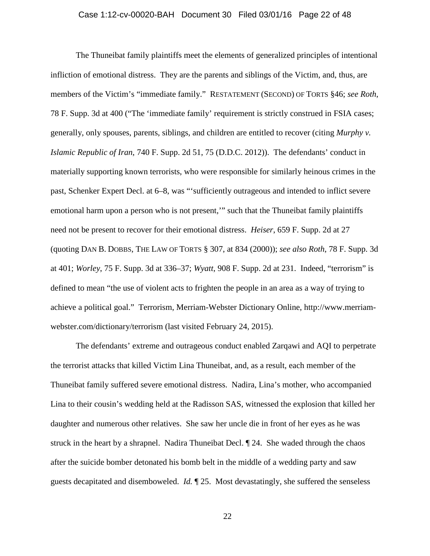# Case 1:12-cv-00020-BAH Document 30 Filed 03/01/16 Page 22 of 48

The Thuneibat family plaintiffs meet the elements of generalized principles of intentional infliction of emotional distress. They are the parents and siblings of the Victim, and, thus, are members of the Victim's "immediate family." RESTATEMENT (SECOND) OF TORTS §46; *see Roth*, 78 F. Supp. 3d at 400 ("The 'immediate family' requirement is strictly construed in FSIA cases; generally, only spouses, parents, siblings, and children are entitled to recover (citing *Murphy v. Islamic Republic of Iran*, 740 F. Supp. 2d 51, 75 (D.D.C. 2012)).The defendants' conduct in materially supporting known terrorists, who were responsible for similarly heinous crimes in the past, Schenker Expert Decl. at 6–8, was "'sufficiently outrageous and intended to inflict severe emotional harm upon a person who is not present,'" such that the Thuneibat family plaintiffs need not be present to recover for their emotional distress. *Heiser*, 659 F. Supp. 2d at 27 (quoting DAN B. DOBBS, THE LAW OF TORTS § 307, at 834 (2000)); *see also Roth*, 78 F. Supp. 3d at 401; *Worley*, 75 F. Supp. 3d at 336–37; *Wyatt*, 908 F. Supp. 2d at 231. Indeed, "terrorism" is defined to mean "the use of violent acts to frighten the people in an area as a way of trying to achieve a political goal." Terrorism, Merriam-Webster Dictionary Online, http://www.merriamwebster.com/dictionary/terrorism (last visited February 24, 2015).

The defendants' extreme and outrageous conduct enabled Zarqawi and AQI to perpetrate the terrorist attacks that killed Victim Lina Thuneibat, and, as a result, each member of the Thuneibat family suffered severe emotional distress. Nadira, Lina's mother, who accompanied Lina to their cousin's wedding held at the Radisson SAS, witnessed the explosion that killed her daughter and numerous other relatives. She saw her uncle die in front of her eyes as he was struck in the heart by a shrapnel. Nadira Thuneibat Decl. ¶ 24. She waded through the chaos after the suicide bomber detonated his bomb belt in the middle of a wedding party and saw guests decapitated and disemboweled. *Id.* ¶ 25. Most devastatingly, she suffered the senseless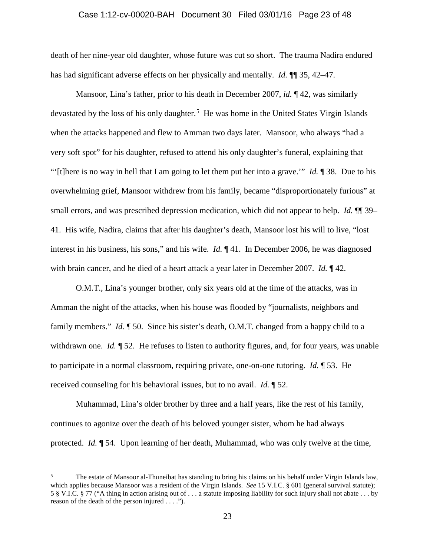#### Case 1:12-cv-00020-BAH Document 30 Filed 03/01/16 Page 23 of 48

death of her nine-year old daughter, whose future was cut so short. The trauma Nadira endured has had significant adverse effects on her physically and mentally. *Id.* **¶** 35, 42–47.

Mansoor, Lina's father, prior to his death in December 2007, *id.* ¶ 42, was similarly devastated by the loss of his only daughter.<sup>[5](#page-22-0)</sup> He was home in the United States Virgin Islands when the attacks happened and flew to Amman two days later. Mansoor, who always "had a very soft spot" for his daughter, refused to attend his only daughter's funeral, explaining that "'[t]here is no way in hell that I am going to let them put her into a grave.'" *Id.* ¶ 38. Due to his overwhelming grief, Mansoor withdrew from his family, became "disproportionately furious" at small errors, and was prescribed depression medication, which did not appear to help. *Id.*  $\P$  39– 41. His wife, Nadira, claims that after his daughter's death, Mansoor lost his will to live, "lost interest in his business, his sons," and his wife. *Id.* ¶ 41. In December 2006, he was diagnosed with brain cancer, and he died of a heart attack a year later in December 2007. *Id.* ¶ 42.

O.M.T., Lina's younger brother, only six years old at the time of the attacks, was in Amman the night of the attacks, when his house was flooded by "journalists, neighbors and family members." *Id.*  $\parallel$  50. Since his sister's death, O.M.T. changed from a happy child to a withdrawn one. *Id.* 152. He refuses to listen to authority figures, and, for four years, was unable to participate in a normal classroom, requiring private, one-on-one tutoring. *Id.* ¶ 53. He received counseling for his behavioral issues, but to no avail. *Id.* ¶ 52.

Muhammad, Lina's older brother by three and a half years, like the rest of his family, continues to agonize over the death of his beloved younger sister, whom he had always protected. *Id.* ¶ 54. Upon learning of her death, Muhammad, who was only twelve at the time,

<span id="page-22-0"></span><sup>&</sup>lt;sup>5</sup> The estate of Mansoor al-Thuneibat has standing to bring his claims on his behalf under Virgin Islands law, which applies because Mansoor was a resident of the Virgin Islands. *See* 15 V.I.C. § 601 (general survival statute); 5 § V.I.C. § 77 ("A thing in action arising out of . . . a statute imposing liability for such injury shall not abate . . . by reason of the death of the person injured . . . .").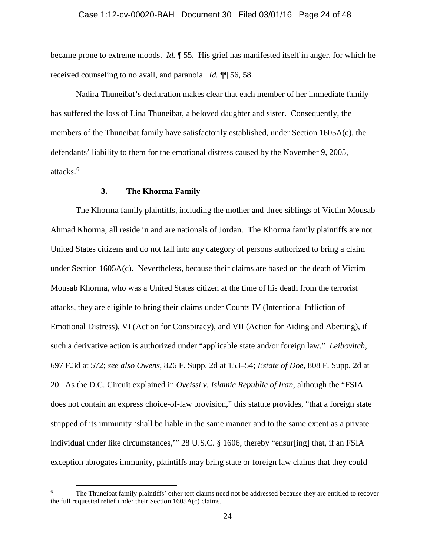# Case 1:12-cv-00020-BAH Document 30 Filed 03/01/16 Page 24 of 48

became prone to extreme moods. *Id.* ¶ 55. His grief has manifested itself in anger, for which he received counseling to no avail, and paranoia. *Id.* ¶¶ 56, 58.

Nadira Thuneibat's declaration makes clear that each member of her immediate family has suffered the loss of Lina Thuneibat, a beloved daughter and sister. Consequently, the members of the Thuneibat family have satisfactorily established, under Section 1605A(c), the defendants' liability to them for the emotional distress caused by the November 9, 2005, attacks. [6](#page-23-0)

# **3. The Khorma Family**

The Khorma family plaintiffs, including the mother and three siblings of Victim Mousab Ahmad Khorma, all reside in and are nationals of Jordan. The Khorma family plaintiffs are not United States citizens and do not fall into any category of persons authorized to bring a claim under Section 1605A(c). Nevertheless, because their claims are based on the death of Victim Mousab Khorma, who was a United States citizen at the time of his death from the terrorist attacks, they are eligible to bring their claims under Counts IV (Intentional Infliction of Emotional Distress), VI (Action for Conspiracy), and VII (Action for Aiding and Abetting), if such a derivative action is authorized under "applicable state and/or foreign law." *Leibovitch*, 697 F.3d at 572; *see also Owens*, 826 F. Supp. 2d at 153–54; *Estate of Doe*, 808 F. Supp. 2d at 20. As the D.C. Circuit explained in *Oveissi v. Islamic Republic of Iran*, although the "FSIA does not contain an express choice-of-law provision," this statute provides, "that a foreign state stripped of its immunity 'shall be liable in the same manner and to the same extent as a private individual under like circumstances,'" 28 U.S.C. § 1606, thereby "ensur[ing] that, if an FSIA exception abrogates immunity, plaintiffs may bring state or foreign law claims that they could

<span id="page-23-0"></span><sup>&</sup>lt;sup>6</sup> The Thuneibat family plaintiffs' other tort claims need not be addressed because they are entitled to recover the full requested relief under their Section 1605A(c) claims.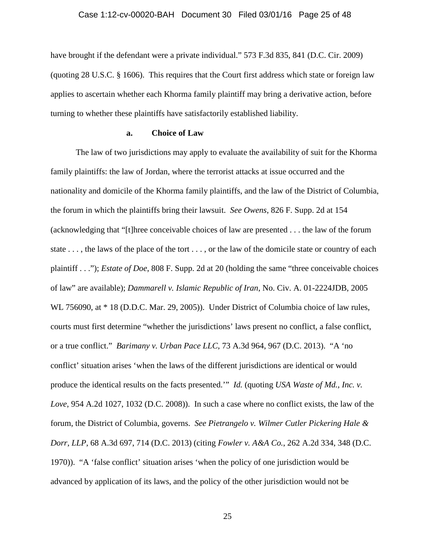#### Case 1:12-cv-00020-BAH Document 30 Filed 03/01/16 Page 25 of 48

have brought if the defendant were a private individual." 573 F.3d 835, 841 (D.C. Cir. 2009) (quoting 28 U.S.C. § 1606). This requires that the Court first address which state or foreign law applies to ascertain whether each Khorma family plaintiff may bring a derivative action, before turning to whether these plaintiffs have satisfactorily established liability.

# **a. Choice of Law**

The law of two jurisdictions may apply to evaluate the availability of suit for the Khorma family plaintiffs: the law of Jordan, where the terrorist attacks at issue occurred and the nationality and domicile of the Khorma family plaintiffs, and the law of the District of Columbia, the forum in which the plaintiffs bring their lawsuit. *See Owens*, 826 F. Supp. 2d at 154 (acknowledging that "[t]hree conceivable choices of law are presented . . . the law of the forum state . . . , the laws of the place of the tort . . . , or the law of the domicile state or country of each plaintiff . . ."); *Estate of Doe*, 808 F. Supp. 2d at 20 (holding the same "three conceivable choices of law" are available); *Dammarell v. Islamic Republic of Iran*, No. Civ. A. 01-2224JDB, 2005 WL 756090, at  $*$  18 (D.D.C. Mar. 29, 2005)). Under District of Columbia choice of law rules, courts must first determine "whether the jurisdictions' laws present no conflict, a false conflict, or a true conflict." *Barimany v. Urban Pace LLC*, 73 A.3d 964, 967 (D.C. 2013). "A 'no conflict' situation arises 'when the laws of the different jurisdictions are identical or would produce the identical results on the facts presented.'" *Id.* (quoting *USA Waste of Md., Inc. v. Love*, 954 A.2d 1027, 1032 (D.C. 2008)). In such a case where no conflict exists, the law of the forum, the District of Columbia, governs. *See Pietrangelo v. Wilmer Cutler Pickering Hale & Dorr, LLP*, 68 A.3d 697, 714 (D.C. 2013) (citing *Fowler v. A&A Co.*, 262 A.2d 334, 348 (D.C. 1970)). "A 'false conflict' situation arises 'when the policy of one jurisdiction would be advanced by application of its laws, and the policy of the other jurisdiction would not be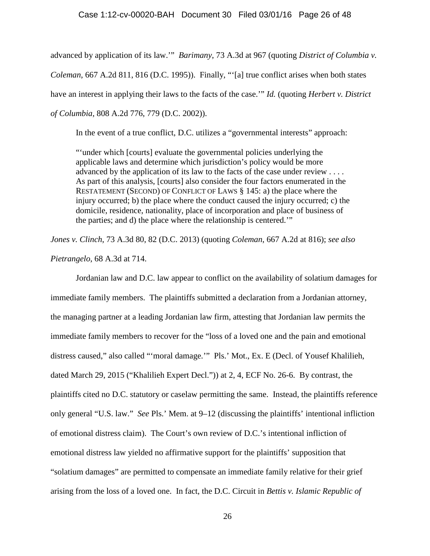# Case 1:12-cv-00020-BAH Document 30 Filed 03/01/16 Page 26 of 48

advanced by application of its law.'" *Barimany*, 73 A.3d at 967 (quoting *District of Columbia v. Coleman*, 667 A.2d 811, 816 (D.C. 1995)). Finally, "'[a] true conflict arises when both states have an interest in applying their laws to the facts of the case.'" *Id.* (quoting *Herbert v. District of Columbia*, 808 A.2d 776, 779 (D.C. 2002)).

In the event of a true conflict, D.C. utilizes a "governmental interests" approach:

"'under which [courts] evaluate the governmental policies underlying the applicable laws and determine which jurisdiction's policy would be more advanced by the application of its law to the facts of the case under review . . . . As part of this analysis, [courts] also consider the four factors enumerated in the RESTATEMENT (SECOND) OF CONFLICT OF LAWS § 145: a) the place where the injury occurred; b) the place where the conduct caused the injury occurred; c) the domicile, residence, nationality, place of incorporation and place of business of the parties; and d) the place where the relationship is centered.'"

*Jones v. Clinch*, 73 A.3d 80, 82 (D.C. 2013) (quoting *Coleman*, 667 A.2d at 816); *see also*

*Pietrangelo*, 68 A.3d at 714.

Jordanian law and D.C. law appear to conflict on the availability of solatium damages for immediate family members. The plaintiffs submitted a declaration from a Jordanian attorney, the managing partner at a leading Jordanian law firm, attesting that Jordanian law permits the immediate family members to recover for the "loss of a loved one and the pain and emotional distress caused," also called "'moral damage.'" Pls.' Mot., Ex. E (Decl. of Yousef Khalilieh, dated March 29, 2015 ("Khalilieh Expert Decl.")) at 2, 4, ECF No. 26-6. By contrast, the plaintiffs cited no D.C. statutory or caselaw permitting the same. Instead, the plaintiffs reference only general "U.S. law." *See* Pls.' Mem. at 9–12 (discussing the plaintiffs' intentional infliction of emotional distress claim). The Court's own review of D.C.'s intentional infliction of emotional distress law yielded no affirmative support for the plaintiffs' supposition that "solatium damages" are permitted to compensate an immediate family relative for their grief arising from the loss of a loved one. In fact, the D.C. Circuit in *Bettis v. Islamic Republic of*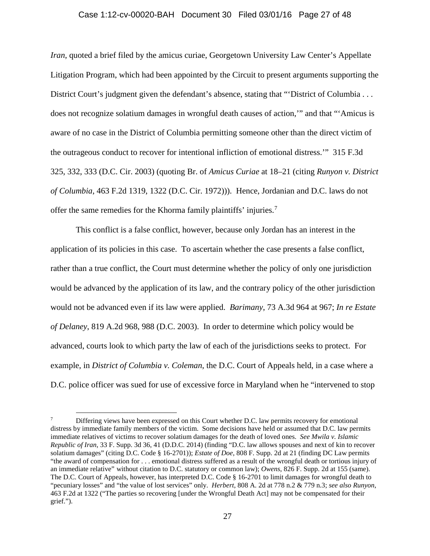# Case 1:12-cv-00020-BAH Document 30 Filed 03/01/16 Page 27 of 48

*Iran*, quoted a brief filed by the amicus curiae, Georgetown University Law Center's Appellate Litigation Program, which had been appointed by the Circuit to present arguments supporting the District Court's judgment given the defendant's absence, stating that "District of Columbia . . . does not recognize solatium damages in wrongful death causes of action,'" and that "'Amicus is aware of no case in the District of Columbia permitting someone other than the direct victim of the outrageous conduct to recover for intentional infliction of emotional distress.'" 315 F.3d 325, 332, 333 (D.C. Cir. 2003) (quoting Br. of *Amicus Curiae* at 18–21 (citing *Runyon v. District of Columbia*, 463 F.2d 1319, 1322 (D.C. Cir. 1972))). Hence, Jordanian and D.C. laws do not offer the same remedies for the Khorma family plaintiffs' injuries.<sup>[7](#page-26-0)</sup>

This conflict is a false conflict, however, because only Jordan has an interest in the application of its policies in this case. To ascertain whether the case presents a false conflict, rather than a true conflict, the Court must determine whether the policy of only one jurisdiction would be advanced by the application of its law, and the contrary policy of the other jurisdiction would not be advanced even if its law were applied. *Barimany*, 73 A.3d 964 at 967; *In re Estate of Delaney*, 819 A.2d 968, 988 (D.C. 2003). In order to determine which policy would be advanced, courts look to which party the law of each of the jurisdictions seeks to protect. For example, in *District of Columbia v. Coleman*, the D.C. Court of Appeals held, in a case where a D.C. police officer was sued for use of excessive force in Maryland when he "intervened to stop

<span id="page-26-0"></span>Differing views have been expressed on this Court whether D.C. law permits recovery for emotional distress by immediate family members of the victim. Some decisions have held or assumed that D.C. law permits immediate relatives of victims to recover solatium damages for the death of loved ones. *See Mwila v. Islamic Republic of Iran*, 33 F. Supp. 3d 36, 41 (D.D.C. 2014) (finding "D.C. law allows spouses and next of kin to recover solatium damages" (citing D.C. Code § 16-2701)); *Estate of Doe*, 808 F. Supp. 2d at 21 (finding DC Law permits "the award of compensation for . . . emotional distress suffered as a result of the wrongful death or tortious injury of an immediate relative" without citation to D.C. statutory or common law); *Owens*, 826 F. Supp. 2d at 155 (same). The D.C. Court of Appeals, however, has interpreted D.C. Code § 16-2701 to limit damages for wrongful death to "pecuniary losses" and "the value of lost services" only. *Herbert*, 808 A. 2d at 778 n.2 & 779 n.3; *see also Runyon*, 463 F.2d at 1322 ("The parties so recovering [under the Wrongful Death Act] may not be compensated for their grief.").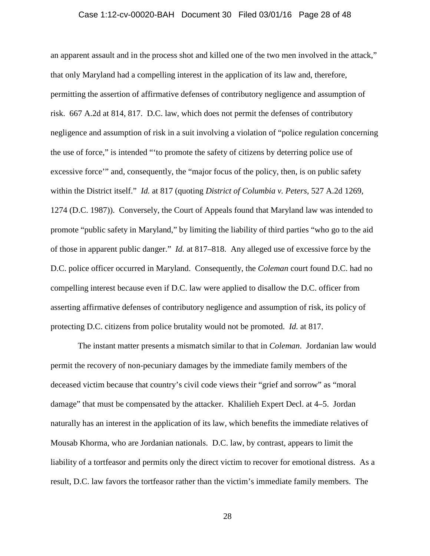#### Case 1:12-cv-00020-BAH Document 30 Filed 03/01/16 Page 28 of 48

an apparent assault and in the process shot and killed one of the two men involved in the attack," that only Maryland had a compelling interest in the application of its law and, therefore, permitting the assertion of affirmative defenses of contributory negligence and assumption of risk. 667 A.2d at 814, 817. D.C. law, which does not permit the defenses of contributory negligence and assumption of risk in a suit involving a violation of "police regulation concerning the use of force," is intended "'to promote the safety of citizens by deterring police use of excessive force'" and, consequently, the "major focus of the policy, then, is on public safety within the District itself." *Id.* at 817 (quoting *District of Columbia v. Peters*, 527 A.2d 1269, 1274 (D.C. 1987)). Conversely, the Court of Appeals found that Maryland law was intended to promote "public safety in Maryland," by limiting the liability of third parties "who go to the aid of those in apparent public danger." *Id.* at 817–818. Any alleged use of excessive force by the D.C. police officer occurred in Maryland. Consequently, the *Coleman* court found D.C. had no compelling interest because even if D.C. law were applied to disallow the D.C. officer from asserting affirmative defenses of contributory negligence and assumption of risk, its policy of protecting D.C. citizens from police brutality would not be promoted. *Id.* at 817.

The instant matter presents a mismatch similar to that in *Coleman*. Jordanian law would permit the recovery of non-pecuniary damages by the immediate family members of the deceased victim because that country's civil code views their "grief and sorrow" as "moral damage" that must be compensated by the attacker. Khalilieh Expert Decl. at 4–5. Jordan naturally has an interest in the application of its law, which benefits the immediate relatives of Mousab Khorma, who are Jordanian nationals. D.C. law, by contrast, appears to limit the liability of a tortfeasor and permits only the direct victim to recover for emotional distress. As a result, D.C. law favors the tortfeasor rather than the victim's immediate family members. The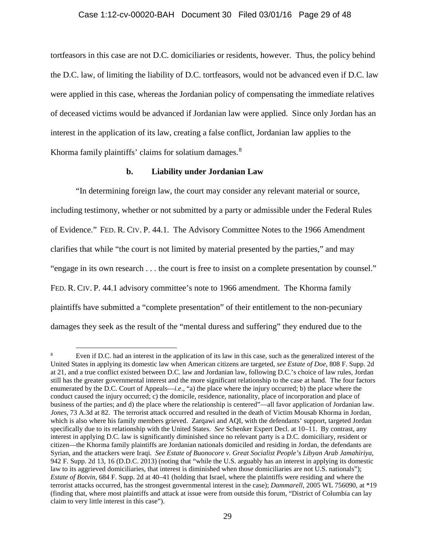#### Case 1:12-cv-00020-BAH Document 30 Filed 03/01/16 Page 29 of 48

tortfeasors in this case are not D.C. domiciliaries or residents, however. Thus, the policy behind the D.C. law, of limiting the liability of D.C. tortfeasors, would not be advanced even if D.C. law were applied in this case, whereas the Jordanian policy of compensating the immediate relatives of deceased victims would be advanced if Jordanian law were applied. Since only Jordan has an interest in the application of its law, creating a false conflict, Jordanian law applies to the Khorma family plaintiffs' claims for solatium damages. $8<sup>8</sup>$  $8<sup>8</sup>$ 

# **b. Liability under Jordanian Law**

"In determining foreign law, the court may consider any relevant material or source, including testimony, whether or not submitted by a party or admissible under the Federal Rules of Evidence." FED. R. CIV. P. 44.1. The Advisory Committee Notes to the 1966 Amendment clarifies that while "the court is not limited by material presented by the parties," and may "engage in its own research . . . the court is free to insist on a complete presentation by counsel." FED. R. CIV. P. 44.1 advisory committee's note to 1966 amendment. The Khorma family plaintiffs have submitted a "complete presentation" of their entitlement to the non-pecuniary damages they seek as the result of the "mental duress and suffering" they endured due to the

<span id="page-28-0"></span>Even if D.C. had an interest in the application of its law in this case, such as the generalized interest of the United States in applying its domestic law when American citizens are targeted, *see Estate of Doe*, 808 F. Supp. 2d at 21, and a true conflict existed between D.C. law and Jordanian law, following D.C.'s choice of law rules, Jordan still has the greater governmental interest and the more significant relationship to the case at hand. The four factors enumerated by the D.C. Court of Appeals—*i.e*., "a) the place where the injury occurred; b) the place where the conduct caused the injury occurred; c) the domicile, residence, nationality, place of incorporation and place of business of the parties; and d) the place where the relationship is centered"—all favor application of Jordanian law. *Jones*, 73 A.3d at 82. The terrorist attack occurred and resulted in the death of Victim Mousab Khorma in Jordan, which is also where his family members grieved. Zarqawi and AQI, with the defendants' support, targeted Jordan specifically due to its relationship with the United States. *See* Schenker Expert Decl. at 10–11. By contrast, any interest in applying D.C. law is significantly diminished since no relevant party is a D.C. domiciliary, resident or citizen—the Khorma family plaintiffs are Jordanian nationals domiciled and residing in Jordan, the defendants are Syrian, and the attackers were Iraqi. *See Estate of Buonocore v. Great Socialist People's Libyan Arab Jamahiriya*, 942 F. Supp. 2d 13, 16 (D.D.C. 2013) (noting that "while the U.S. arguably has an interest in applying its domestic law to its aggrieved domiciliaries, that interest is diminished when those domiciliaries are not U.S. nationals"); *Estate of Botvin*, 684 F. Supp. 2d at 40–41 (holding that Israel, where the plaintiffs were residing and where the terrorist attacks occurred, has the strongest governmental interest in the case); *Dammarell*, 2005 WL 756090, at \*19 (finding that, where most plaintiffs and attack at issue were from outside this forum, "District of Columbia can lay claim to very little interest in this case").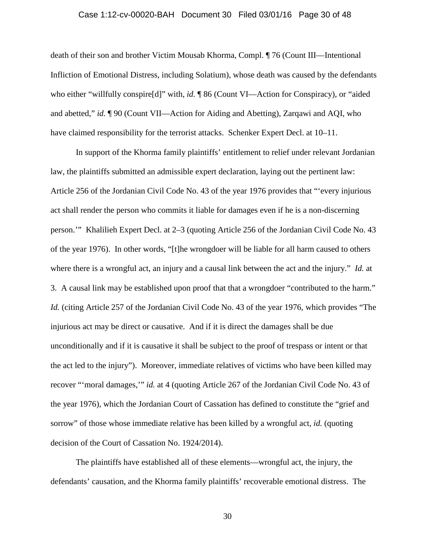#### Case 1:12-cv-00020-BAH Document 30 Filed 03/01/16 Page 30 of 48

death of their son and brother Victim Mousab Khorma, Compl. ¶ 76 (Count III—Intentional Infliction of Emotional Distress, including Solatium), whose death was caused by the defendants who either "willfully conspire<sup>[d]"</sup> with, *id.*  $\sqrt{\frac{1}{26}}$  (Count VI—Action for Conspiracy), or "aided and abetted," *id.* ¶ 90 (Count VII—Action for Aiding and Abetting), Zarqawi and AQI, who have claimed responsibility for the terrorist attacks. Schenker Expert Decl. at 10–11.

In support of the Khorma family plaintiffs' entitlement to relief under relevant Jordanian law, the plaintiffs submitted an admissible expert declaration, laying out the pertinent law: Article 256 of the Jordanian Civil Code No. 43 of the year 1976 provides that "'every injurious act shall render the person who commits it liable for damages even if he is a non-discerning person.'" Khalilieh Expert Decl. at 2–3 (quoting Article 256 of the Jordanian Civil Code No. 43 of the year 1976). In other words, "[t]he wrongdoer will be liable for all harm caused to others where there is a wrongful act, an injury and a causal link between the act and the injury." *Id.* at 3. A causal link may be established upon proof that that a wrongdoer "contributed to the harm." *Id.* (citing Article 257 of the Jordanian Civil Code No. 43 of the year 1976, which provides "The injurious act may be direct or causative. And if it is direct the damages shall be due unconditionally and if it is causative it shall be subject to the proof of trespass or intent or that the act led to the injury"). Moreover, immediate relatives of victims who have been killed may recover "'moral damages,'" *id.* at 4 (quoting Article 267 of the Jordanian Civil Code No. 43 of the year 1976), which the Jordanian Court of Cassation has defined to constitute the "grief and sorrow" of those whose immediate relative has been killed by a wrongful act, *id.* (quoting decision of the Court of Cassation No. 1924/2014).

The plaintiffs have established all of these elements—wrongful act, the injury, the defendants' causation, and the Khorma family plaintiffs' recoverable emotional distress. The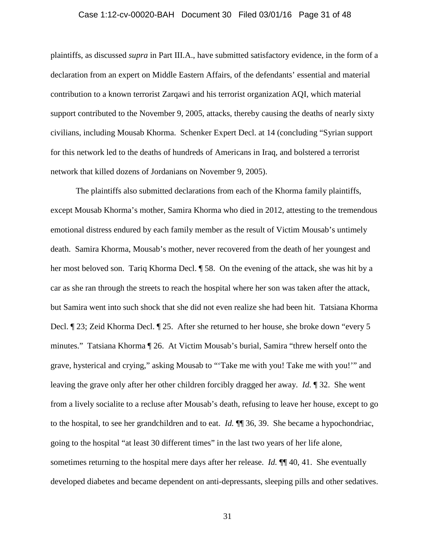# Case 1:12-cv-00020-BAH Document 30 Filed 03/01/16 Page 31 of 48

plaintiffs, as discussed *supra* in Part III.A., have submitted satisfactory evidence, in the form of a declaration from an expert on Middle Eastern Affairs, of the defendants' essential and material contribution to a known terrorist Zarqawi and his terrorist organization AQI, which material support contributed to the November 9, 2005, attacks, thereby causing the deaths of nearly sixty civilians, including Mousab Khorma. Schenker Expert Decl. at 14 (concluding "Syrian support for this network led to the deaths of hundreds of Americans in Iraq, and bolstered a terrorist network that killed dozens of Jordanians on November 9, 2005).

The plaintiffs also submitted declarations from each of the Khorma family plaintiffs, except Mousab Khorma's mother, Samira Khorma who died in 2012, attesting to the tremendous emotional distress endured by each family member as the result of Victim Mousab's untimely death. Samira Khorma, Mousab's mother, never recovered from the death of her youngest and her most beloved son. Tariq Khorma Decl.  $\parallel$  58. On the evening of the attack, she was hit by a car as she ran through the streets to reach the hospital where her son was taken after the attack, but Samira went into such shock that she did not even realize she had been hit. Tatsiana Khorma Decl. ¶ 23; Zeid Khorma Decl. ¶ 25. After she returned to her house, she broke down "every 5 minutes." Tatsiana Khorma ¶ 26. At Victim Mousab's burial, Samira "threw herself onto the grave, hysterical and crying," asking Mousab to "'Take me with you! Take me with you!'" and leaving the grave only after her other children forcibly dragged her away. *Id.* ¶ 32. She went from a lively socialite to a recluse after Mousab's death, refusing to leave her house, except to go to the hospital, to see her grandchildren and to eat. *Id.* ¶¶ 36, 39. She became a hypochondriac, going to the hospital "at least 30 different times" in the last two years of her life alone, sometimes returning to the hospital mere days after her release. *Id.* ¶¶ 40, 41. She eventually developed diabetes and became dependent on anti-depressants, sleeping pills and other sedatives.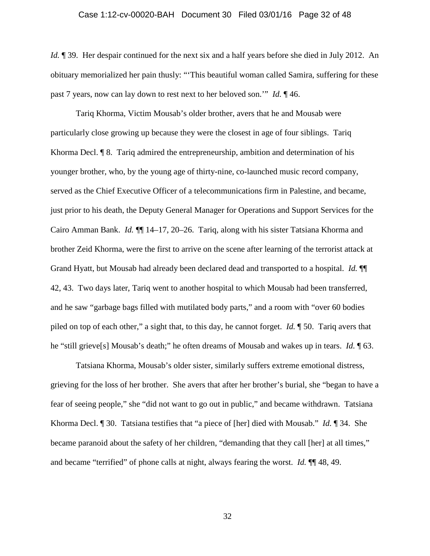# Case 1:12-cv-00020-BAH Document 30 Filed 03/01/16 Page 32 of 48

*Id.* **[47]** 39. Her despair continued for the next six and a half years before she died in July 2012. An obituary memorialized her pain thusly: "'This beautiful woman called Samira, suffering for these past 7 years, now can lay down to rest next to her beloved son.'" *Id.* ¶ 46.

Tariq Khorma, Victim Mousab's older brother, avers that he and Mousab were particularly close growing up because they were the closest in age of four siblings. Tariq Khorma Decl. ¶ 8. Tariq admired the entrepreneurship, ambition and determination of his younger brother, who, by the young age of thirty-nine, co-launched music record company, served as the Chief Executive Officer of a telecommunications firm in Palestine, and became, just prior to his death, the Deputy General Manager for Operations and Support Services for the Cairo Amman Bank. *Id.* ¶¶ 14–17, 20–26. Tariq, along with his sister Tatsiana Khorma and brother Zeid Khorma, were the first to arrive on the scene after learning of the terrorist attack at Grand Hyatt, but Mousab had already been declared dead and transported to a hospital. *Id.* ¶¶ 42, 43. Two days later, Tariq went to another hospital to which Mousab had been transferred, and he saw "garbage bags filled with mutilated body parts," and a room with "over 60 bodies piled on top of each other," a sight that, to this day, he cannot forget. *Id.* ¶ 50. Tariq avers that he "still grieve[s] Mousab's death;" he often dreams of Mousab and wakes up in tears. *Id.* ¶ 63.

Tatsiana Khorma, Mousab's older sister, similarly suffers extreme emotional distress, grieving for the loss of her brother. She avers that after her brother's burial, she "began to have a fear of seeing people," she "did not want to go out in public," and became withdrawn. Tatsiana Khorma Decl. ¶ 30. Tatsiana testifies that "a piece of [her] died with Mousab." *Id.* ¶ 34. She became paranoid about the safety of her children, "demanding that they call [her] at all times," and became "terrified" of phone calls at night, always fearing the worst. *Id.* ¶¶ 48, 49.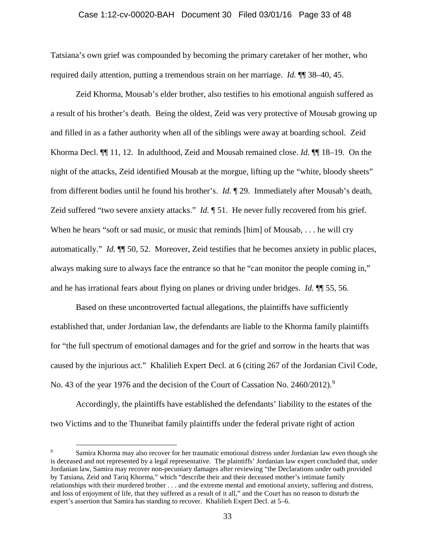#### Case 1:12-cv-00020-BAH Document 30 Filed 03/01/16 Page 33 of 48

Tatsiana's own grief was compounded by becoming the primary caretaker of her mother, who required daily attention, putting a tremendous strain on her marriage. *Id.* ¶¶ 38–40, 45.

Zeid Khorma, Mousab's elder brother, also testifies to his emotional anguish suffered as a result of his brother's death. Being the oldest, Zeid was very protective of Mousab growing up and filled in as a father authority when all of the siblings were away at boarding school. Zeid Khorma Decl. ¶¶ 11, 12. In adulthood, Zeid and Mousab remained close. *Id.* ¶¶ 18–19. On the night of the attacks, Zeid identified Mousab at the morgue, lifting up the "white, bloody sheets" from different bodies until he found his brother's. *Id.* ¶ 29. Immediately after Mousab's death, Zeid suffered "two severe anxiety attacks." *Id.* **[51.** He never fully recovered from his grief. When he hears "soft or sad music, or music that reminds [him] of Mousab, . . . he will cry automatically." *Id.* ¶¶ 50, 52. Moreover, Zeid testifies that he becomes anxiety in public places, always making sure to always face the entrance so that he "can monitor the people coming in," and he has irrational fears about flying on planes or driving under bridges. *Id.* ¶¶ 55, 56.

Based on these uncontroverted factual allegations, the plaintiffs have sufficiently established that, under Jordanian law, the defendants are liable to the Khorma family plaintiffs for "the full spectrum of emotional damages and for the grief and sorrow in the hearts that was caused by the injurious act." Khalilieh Expert Decl. at 6 (citing 267 of the Jordanian Civil Code, No. 43 of the year 1[9](#page-32-0)76 and the decision of the Court of Cassation No. 2460/2012).<sup>9</sup>

Accordingly, the plaintiffs have established the defendants' liability to the estates of the two Victims and to the Thuneibat family plaintiffs under the federal private right of action

<span id="page-32-0"></span>Samira Khorma may also recover for her traumatic emotional distress under Jordanian law even though she is deceased and not represented by a legal representative. The plaintiffs' Jordanian law expert concluded that, under Jordanian law, Samira may recover non-pecuniary damages after reviewing "the Declarations under oath provided by Tatsiana, Zeid and Tariq Khorma," which "describe their and their deceased mother's intimate family relationships with their murdered brother . . . and the extreme mental and emotional anxiety, suffering and distress, and loss of enjoyment of life, that they suffered as a result of it all," and the Court has no reason to disturb the expert's assertion that Samira has standing to recover. Khalilieh Expert Decl. at 5–6.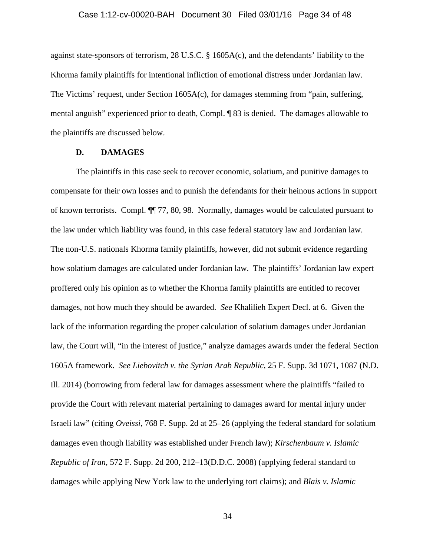#### Case 1:12-cv-00020-BAH Document 30 Filed 03/01/16 Page 34 of 48

against state-sponsors of terrorism, 28 U.S.C. § 1605A(c), and the defendants' liability to the Khorma family plaintiffs for intentional infliction of emotional distress under Jordanian law. The Victims' request, under Section 1605A(c), for damages stemming from "pain, suffering, mental anguish" experienced prior to death, Compl. ¶ 83 is denied. The damages allowable to the plaintiffs are discussed below.

# **D. DAMAGES**

The plaintiffs in this case seek to recover economic, solatium, and punitive damages to compensate for their own losses and to punish the defendants for their heinous actions in support of known terrorists. Compl. ¶¶ 77, 80, 98. Normally, damages would be calculated pursuant to the law under which liability was found, in this case federal statutory law and Jordanian law. The non-U.S. nationals Khorma family plaintiffs, however, did not submit evidence regarding how solatium damages are calculated under Jordanian law. The plaintiffs' Jordanian law expert proffered only his opinion as to whether the Khorma family plaintiffs are entitled to recover damages, not how much they should be awarded. *See* Khalilieh Expert Decl. at 6. Given the lack of the information regarding the proper calculation of solatium damages under Jordanian law, the Court will, "in the interest of justice," analyze damages awards under the federal Section 1605A framework. *See Liebovitch v. the Syrian Arab Republic*, 25 F. Supp. 3d 1071, 1087 (N.D. Ill. 2014) (borrowing from federal law for damages assessment where the plaintiffs "failed to provide the Court with relevant material pertaining to damages award for mental injury under Israeli law" (citing *Oveissi*, 768 F. Supp. 2d at 25–26 (applying the federal standard for solatium damages even though liability was established under French law); *Kirschenbaum v. Islamic Republic of Iran*, 572 F. Supp. 2d 200, 212–13(D.D.C. 2008) (applying federal standard to damages while applying New York law to the underlying tort claims); and *Blais v. Islamic*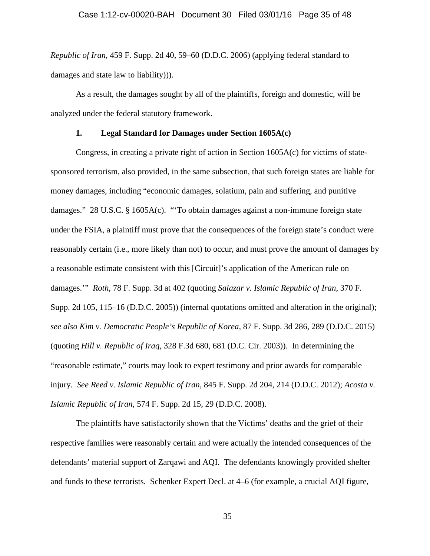*Republic of Iran*, 459 F. Supp. 2d 40, 59–60 (D.D.C. 2006) (applying federal standard to damages and state law to liability))).

As a result, the damages sought by all of the plaintiffs, foreign and domestic, will be analyzed under the federal statutory framework.

# **1. Legal Standard for Damages under Section 1605A(c)**

Congress, in creating a private right of action in Section 1605A(c) for victims of statesponsored terrorism, also provided, in the same subsection, that such foreign states are liable for money damages, including "economic damages, solatium, pain and suffering, and punitive damages." 28 U.S.C. § 1605A(c). "'To obtain damages against a non-immune foreign state under the FSIA, a plaintiff must prove that the consequences of the foreign state's conduct were reasonably certain (i.e., more likely than not) to occur, and must prove the amount of damages by a reasonable estimate consistent with this [Circuit]'s application of the American rule on damages.'" *Roth*, 78 F. Supp. 3d at 402 (quoting *Salazar v. Islamic Republic of Iran*, 370 F. Supp. 2d 105, 115–16 (D.D.C. 2005)) (internal quotations omitted and alteration in the original); *see also Kim v. Democratic People's Republic of Korea*, 87 F. Supp. 3d 286, 289 (D.D.C. 2015) (quoting *Hill v. Republic of Iraq*, 328 F.3d 680, 681 (D.C. Cir. 2003)). In determining the "reasonable estimate," courts may look to expert testimony and prior awards for comparable injury. *See Reed v. Islamic Republic of Iran*, 845 F. Supp. 2d 204, 214 (D.D.C. 2012); *Acosta v. Islamic Republic of Iran*, 574 F. Supp. 2d 15, 29 (D.D.C. 2008).

The plaintiffs have satisfactorily shown that the Victims' deaths and the grief of their respective families were reasonably certain and were actually the intended consequences of the defendants' material support of Zarqawi and AQI. The defendants knowingly provided shelter and funds to these terrorists. Schenker Expert Decl. at 4–6 (for example, a crucial AQI figure,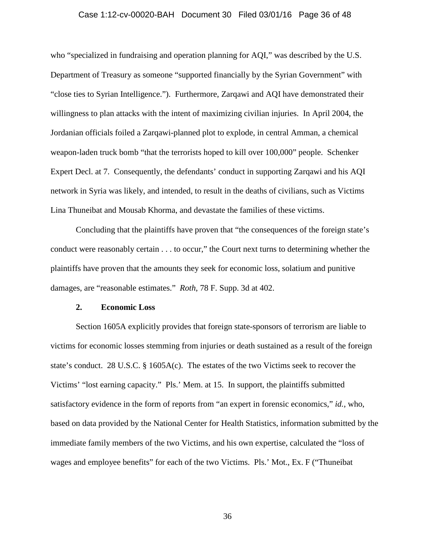# Case 1:12-cv-00020-BAH Document 30 Filed 03/01/16 Page 36 of 48

who "specialized in fundraising and operation planning for AQI," was described by the U.S. Department of Treasury as someone "supported financially by the Syrian Government" with "close ties to Syrian Intelligence."). Furthermore, Zarqawi and AQI have demonstrated their willingness to plan attacks with the intent of maximizing civilian injuries. In April 2004, the Jordanian officials foiled a Zarqawi-planned plot to explode, in central Amman, a chemical weapon-laden truck bomb "that the terrorists hoped to kill over 100,000" people. Schenker Expert Decl. at 7. Consequently, the defendants' conduct in supporting Zarqawi and his AQI network in Syria was likely, and intended, to result in the deaths of civilians, such as Victims Lina Thuneibat and Mousab Khorma, and devastate the families of these victims.

Concluding that the plaintiffs have proven that "the consequences of the foreign state's conduct were reasonably certain . . . to occur," the Court next turns to determining whether the plaintiffs have proven that the amounts they seek for economic loss, solatium and punitive damages, are "reasonable estimates." *Roth*, 78 F. Supp. 3d at 402.

# **2. Economic Loss**

Section 1605A explicitly provides that foreign state-sponsors of terrorism are liable to victims for economic losses stemming from injuries or death sustained as a result of the foreign state's conduct. 28 U.S.C. § 1605A(c). The estates of the two Victims seek to recover the Victims' "lost earning capacity." Pls.' Mem. at 15. In support, the plaintiffs submitted satisfactory evidence in the form of reports from "an expert in forensic economics," *id.*, who, based on data provided by the National Center for Health Statistics, information submitted by the immediate family members of the two Victims, and his own expertise, calculated the "loss of wages and employee benefits" for each of the two Victims. Pls.' Mot., Ex. F ("Thuneibat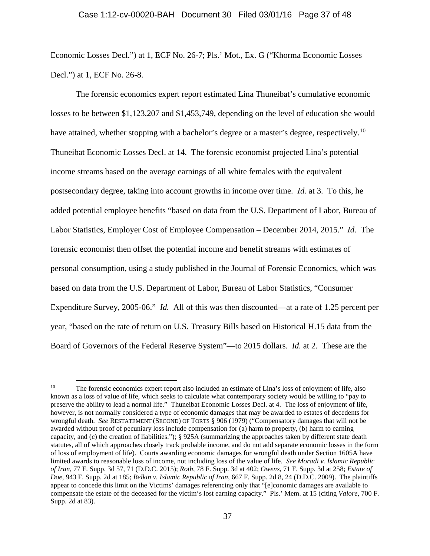Economic Losses Decl.") at 1, ECF No. 26-7; Pls.' Mot., Ex. G ("Khorma Economic Losses Decl.") at 1, ECF No. 26-8.

The forensic economics expert report estimated Lina Thuneibat's cumulative economic losses to be between \$1,123,207 and \$1,453,749, depending on the level of education she would have attained, whether stopping with a bachelor's degree or a master's degree, respectively.<sup>10</sup> Thuneibat Economic Losses Decl. at 14. The forensic economist projected Lina's potential income streams based on the average earnings of all white females with the equivalent postsecondary degree, taking into account growths in income over time. *Id.* at 3. To this, he added potential employee benefits "based on data from the U.S. Department of Labor, Bureau of Labor Statistics, Employer Cost of Employee Compensation – December 2014, 2015." *Id.* The forensic economist then offset the potential income and benefit streams with estimates of personal consumption, using a study published in the Journal of Forensic Economics, which was based on data from the U.S. Department of Labor, Bureau of Labor Statistics, "Consumer Expenditure Survey, 2005-06." *Id.* All of this was then discounted—at a rate of 1.25 percent per year, "based on the rate of return on U.S. Treasury Bills based on Historical H.15 data from the Board of Governors of the Federal Reserve System"—to 2015 dollars. *Id.* at 2. These are the

<span id="page-36-0"></span><sup>&</sup>lt;sup>10</sup> The forensic economics expert report also included an estimate of Lina's loss of enjoyment of life, also known as a loss of value of life, which seeks to calculate what contemporary society would be willing to "pay to preserve the ability to lead a normal life." Thuneibat Economic Losses Decl. at 4. The loss of enjoyment of life, however, is not normally considered a type of economic damages that may be awarded to estates of decedents for wrongful death. *See* RESTATEMENT (SECOND) OF TORTS § 906 (1979) ("Compensatory damages that will not be awarded without proof of pecuniary loss include compensation for (a) harm to property, (b) harm to earning capacity, and (c) the creation of liabilities."); § 925A (summarizing the approaches taken by different state death statutes, all of which approaches closely track probable income, and do not add separate economic losses in the form of loss of employment of life). Courts awarding economic damages for wrongful death under Section 1605A have limited awards to reasonable loss of income, not including loss of the value of life. *See Moradi v. Islamic Republic of Iran*, 77 F. Supp. 3d 57, 71 (D.D.C. 2015); *Roth*, 78 F. Supp. 3d at 402; *Owens*, 71 F. Supp. 3d at 258; *Estate of Doe*, 943 F. Supp. 2d at 185; *Belkin v. Islamic Republic of Iran*, 667 F. Supp. 2d 8, 24 (D.D.C. 2009). The plaintiffs appear to concede this limit on the Victims' damages referencing only that "[e]conomic damages are available to compensate the estate of the deceased for the victim's lost earning capacity." Pls.' Mem. at 15 (citing *Valore*, 700 F. Supp. 2d at 83).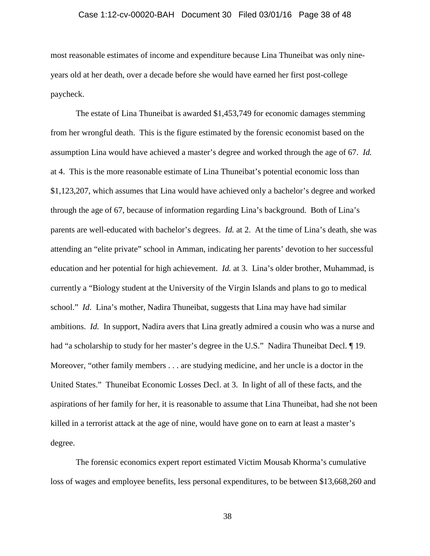# Case 1:12-cv-00020-BAH Document 30 Filed 03/01/16 Page 38 of 48

most reasonable estimates of income and expenditure because Lina Thuneibat was only nineyears old at her death, over a decade before she would have earned her first post-college paycheck.

The estate of Lina Thuneibat is awarded \$1,453,749 for economic damages stemming from her wrongful death. This is the figure estimated by the forensic economist based on the assumption Lina would have achieved a master's degree and worked through the age of 67. *Id.*  at 4. This is the more reasonable estimate of Lina Thuneibat's potential economic loss than \$1,123,207, which assumes that Lina would have achieved only a bachelor's degree and worked through the age of 67, because of information regarding Lina's background. Both of Lina's parents are well-educated with bachelor's degrees. *Id.* at 2. At the time of Lina's death, she was attending an "elite private" school in Amman, indicating her parents' devotion to her successful education and her potential for high achievement. *Id.* at 3. Lina's older brother, Muhammad, is currently a "Biology student at the University of the Virgin Islands and plans to go to medical school." *Id*. Lina's mother, Nadira Thuneibat, suggests that Lina may have had similar ambitions. *Id.* In support, Nadira avers that Lina greatly admired a cousin who was a nurse and had "a scholarship to study for her master's degree in the U.S." Nadira Thuneibat Decl. 19. Moreover, "other family members . . . are studying medicine, and her uncle is a doctor in the United States." Thuneibat Economic Losses Decl. at 3. In light of all of these facts, and the aspirations of her family for her, it is reasonable to assume that Lina Thuneibat, had she not been killed in a terrorist attack at the age of nine, would have gone on to earn at least a master's degree.

The forensic economics expert report estimated Victim Mousab Khorma's cumulative loss of wages and employee benefits, less personal expenditures, to be between \$13,668,260 and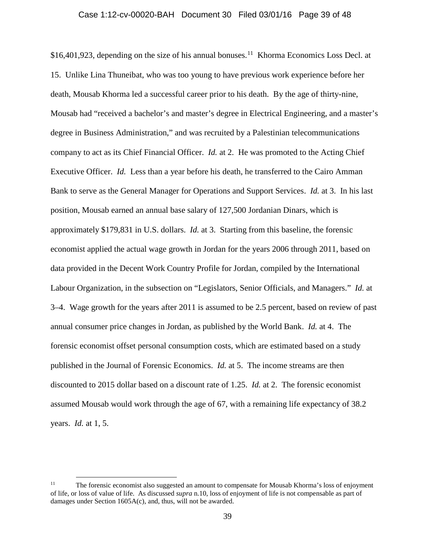#### Case 1:12-cv-00020-BAH Document 30 Filed 03/01/16 Page 39 of 48

\$16,401,923, depending on the size of his annual bonuses.<sup>11</sup> Khorma Economics Loss Decl. at 15. Unlike Lina Thuneibat, who was too young to have previous work experience before her death, Mousab Khorma led a successful career prior to his death. By the age of thirty-nine, Mousab had "received a bachelor's and master's degree in Electrical Engineering, and a master's degree in Business Administration," and was recruited by a Palestinian telecommunications company to act as its Chief Financial Officer. *Id.* at 2. He was promoted to the Acting Chief Executive Officer. *Id.* Less than a year before his death, he transferred to the Cairo Amman Bank to serve as the General Manager for Operations and Support Services. *Id.* at 3. In his last position, Mousab earned an annual base salary of 127,500 Jordanian Dinars, which is approximately \$179,831 in U.S. dollars. *Id.* at 3. Starting from this baseline, the forensic economist applied the actual wage growth in Jordan for the years 2006 through 2011, based on data provided in the Decent Work Country Profile for Jordan, compiled by the International Labour Organization, in the subsection on "Legislators, Senior Officials, and Managers." *Id.* at 3–4. Wage growth for the years after 2011 is assumed to be 2.5 percent, based on review of past annual consumer price changes in Jordan, as published by the World Bank. *Id.* at 4. The forensic economist offset personal consumption costs, which are estimated based on a study published in the Journal of Forensic Economics. *Id.* at 5. The income streams are then discounted to 2015 dollar based on a discount rate of 1.25. *Id.* at 2. The forensic economist assumed Mousab would work through the age of 67, with a remaining life expectancy of 38.2 years. *Id.* at 1, 5.

<span id="page-38-0"></span><sup>&</sup>lt;sup>11</sup> The forensic economist also suggested an amount to compensate for Mousab Khorma's loss of enjoyment of life, or loss of value of life. As discussed *supra* n.10, loss of enjoyment of life is not compensable as part of damages under Section 1605A(c), and, thus, will not be awarded.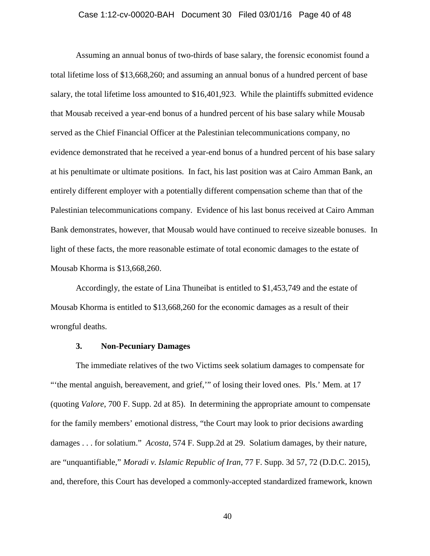# Case 1:12-cv-00020-BAH Document 30 Filed 03/01/16 Page 40 of 48

Assuming an annual bonus of two-thirds of base salary, the forensic economist found a total lifetime loss of \$13,668,260; and assuming an annual bonus of a hundred percent of base salary, the total lifetime loss amounted to \$16,401,923. While the plaintiffs submitted evidence that Mousab received a year-end bonus of a hundred percent of his base salary while Mousab served as the Chief Financial Officer at the Palestinian telecommunications company, no evidence demonstrated that he received a year-end bonus of a hundred percent of his base salary at his penultimate or ultimate positions. In fact, his last position was at Cairo Amman Bank, an entirely different employer with a potentially different compensation scheme than that of the Palestinian telecommunications company. Evidence of his last bonus received at Cairo Amman Bank demonstrates, however, that Mousab would have continued to receive sizeable bonuses. In light of these facts, the more reasonable estimate of total economic damages to the estate of Mousab Khorma is \$13,668,260.

Accordingly, the estate of Lina Thuneibat is entitled to \$1,453,749 and the estate of Mousab Khorma is entitled to \$13,668,260 for the economic damages as a result of their wrongful deaths.

# **3. Non-Pecuniary Damages**

The immediate relatives of the two Victims seek solatium damages to compensate for "'the mental anguish, bereavement, and grief,'" of losing their loved ones. Pls.' Mem. at 17 (quoting *Valore*, 700 F. Supp. 2d at 85). In determining the appropriate amount to compensate for the family members' emotional distress, "the Court may look to prior decisions awarding damages . . . for solatium." *Acosta*, 574 F. Supp.2d at 29. Solatium damages, by their nature, are "unquantifiable," *Moradi v. Islamic Republic of Iran*, 77 F. Supp. 3d 57, 72 (D.D.C. 2015), and, therefore, this Court has developed a commonly-accepted standardized framework, known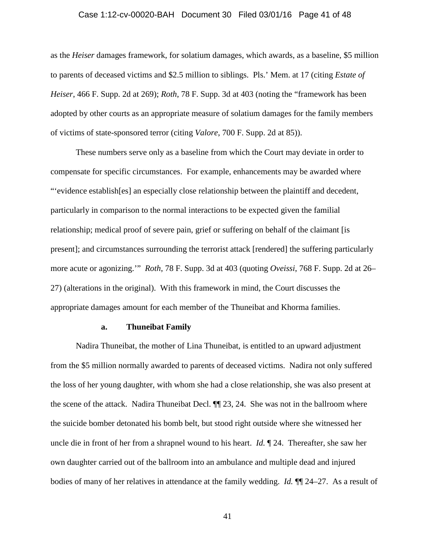# Case 1:12-cv-00020-BAH Document 30 Filed 03/01/16 Page 41 of 48

as the *Heiser* damages framework, for solatium damages, which awards, as a baseline, \$5 million to parents of deceased victims and \$2.5 million to siblings. Pls.' Mem. at 17 (citing *Estate of Heiser*, 466 F. Supp. 2d at 269); *Roth*, 78 F. Supp. 3d at 403 (noting the "framework has been adopted by other courts as an appropriate measure of solatium damages for the family members of victims of state-sponsored terror (citing *Valore*, 700 F. Supp. 2d at 85)).

These numbers serve only as a baseline from which the Court may deviate in order to compensate for specific circumstances. For example, enhancements may be awarded where "'evidence establish[es] an especially close relationship between the plaintiff and decedent, particularly in comparison to the normal interactions to be expected given the familial relationship; medical proof of severe pain, grief or suffering on behalf of the claimant [is present]; and circumstances surrounding the terrorist attack [rendered] the suffering particularly more acute or agonizing.'" *Roth*, 78 F. Supp. 3d at 403 (quoting *Oveissi*, 768 F. Supp. 2d at 26– 27) (alterations in the original). With this framework in mind, the Court discusses the appropriate damages amount for each member of the Thuneibat and Khorma families.

# **a. Thuneibat Family**

Nadira Thuneibat, the mother of Lina Thuneibat, is entitled to an upward adjustment from the \$5 million normally awarded to parents of deceased victims. Nadira not only suffered the loss of her young daughter, with whom she had a close relationship, she was also present at the scene of the attack. Nadira Thuneibat Decl. ¶¶ 23, 24. She was not in the ballroom where the suicide bomber detonated his bomb belt, but stood right outside where she witnessed her uncle die in front of her from a shrapnel wound to his heart. *Id.* ¶ 24. Thereafter, she saw her own daughter carried out of the ballroom into an ambulance and multiple dead and injured bodies of many of her relatives in attendance at the family wedding. *Id.* ¶¶ 24–27. As a result of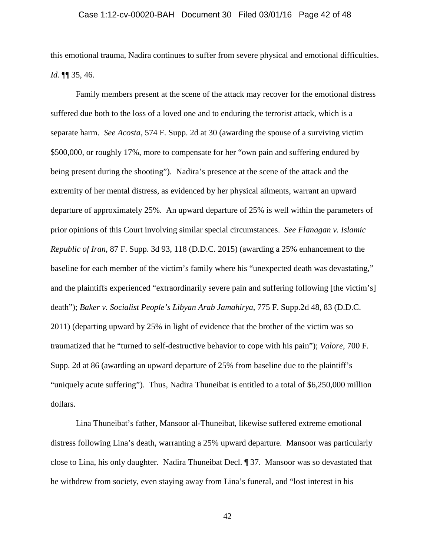# Case 1:12-cv-00020-BAH Document 30 Filed 03/01/16 Page 42 of 48

this emotional trauma, Nadira continues to suffer from severe physical and emotional difficulties. *Id.* ¶¶ 35, 46.

Family members present at the scene of the attack may recover for the emotional distress suffered due both to the loss of a loved one and to enduring the terrorist attack, which is a separate harm. *See Acosta*, 574 F. Supp. 2d at 30 (awarding the spouse of a surviving victim \$500,000, or roughly 17%, more to compensate for her "own pain and suffering endured by being present during the shooting"). Nadira's presence at the scene of the attack and the extremity of her mental distress, as evidenced by her physical ailments, warrant an upward departure of approximately 25%. An upward departure of 25% is well within the parameters of prior opinions of this Court involving similar special circumstances. *See Flanagan v. Islamic Republic of Iran*, 87 F. Supp. 3d 93, 118 (D.D.C. 2015) (awarding a 25% enhancement to the baseline for each member of the victim's family where his "unexpected death was devastating," and the plaintiffs experienced "extraordinarily severe pain and suffering following [the victim's] death"); *Baker v. Socialist People's Libyan Arab Jamahirya*, 775 F. Supp.2d 48, 83 (D.D.C. 2011) (departing upward by 25% in light of evidence that the brother of the victim was so traumatized that he "turned to self-destructive behavior to cope with his pain"); *Valore*, 700 F. Supp. 2d at 86 (awarding an upward departure of 25% from baseline due to the plaintiff's "uniquely acute suffering"). Thus, Nadira Thuneibat is entitled to a total of \$6,250,000 million dollars.

Lina Thuneibat's father, Mansoor al-Thuneibat, likewise suffered extreme emotional distress following Lina's death, warranting a 25% upward departure. Mansoor was particularly close to Lina, his only daughter. Nadira Thuneibat Decl. ¶ 37. Mansoor was so devastated that he withdrew from society, even staying away from Lina's funeral, and "lost interest in his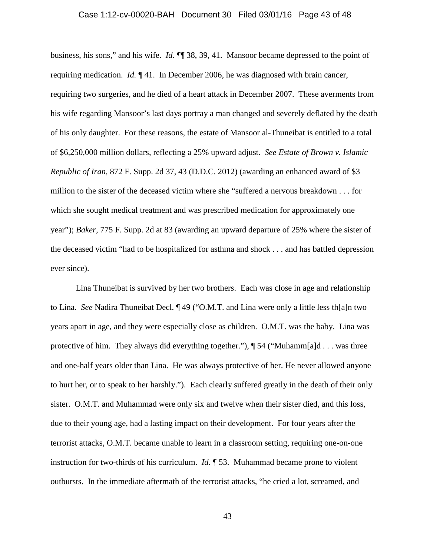#### Case 1:12-cv-00020-BAH Document 30 Filed 03/01/16 Page 43 of 48

business, his sons," and his wife. *Id.* ¶¶ 38, 39, 41. Mansoor became depressed to the point of requiring medication. *Id.* ¶ 41. In December 2006, he was diagnosed with brain cancer, requiring two surgeries, and he died of a heart attack in December 2007. These averments from his wife regarding Mansoor's last days portray a man changed and severely deflated by the death of his only daughter. For these reasons, the estate of Mansoor al-Thuneibat is entitled to a total of \$6,250,000 million dollars, reflecting a 25% upward adjust. *See Estate of Brown v. Islamic Republic of Iran*, 872 F. Supp. 2d 37, 43 (D.D.C. 2012) (awarding an enhanced award of \$3 million to the sister of the deceased victim where she "suffered a nervous breakdown . . . for which she sought medical treatment and was prescribed medication for approximately one year"); *Baker*, 775 F. Supp. 2d at 83 (awarding an upward departure of 25% where the sister of the deceased victim "had to be hospitalized for asthma and shock . . . and has battled depression ever since).

Lina Thuneibat is survived by her two brothers. Each was close in age and relationship to Lina. *See* Nadira Thuneibat Decl. ¶ 49 ("O.M.T. and Lina were only a little less th[a]n two years apart in age, and they were especially close as children. O.M.T. was the baby. Lina was protective of him. They always did everything together."),  $\P$  54 ("Muhamm[a]d . . . was three and one-half years older than Lina. He was always protective of her. He never allowed anyone to hurt her, or to speak to her harshly."). Each clearly suffered greatly in the death of their only sister. O.M.T. and Muhammad were only six and twelve when their sister died, and this loss, due to their young age, had a lasting impact on their development. For four years after the terrorist attacks, O.M.T. became unable to learn in a classroom setting, requiring one-on-one instruction for two-thirds of his curriculum. *Id.* ¶ 53. Muhammad became prone to violent outbursts. In the immediate aftermath of the terrorist attacks, "he cried a lot, screamed, and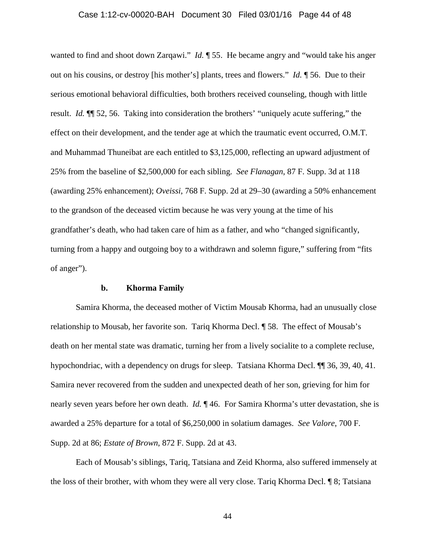# Case 1:12-cv-00020-BAH Document 30 Filed 03/01/16 Page 44 of 48

wanted to find and shoot down Zarqawi." *Id.*  $\parallel$  55. He became angry and "would take his anger out on his cousins, or destroy [his mother's] plants, trees and flowers." *Id.* ¶ 56. Due to their serious emotional behavioral difficulties, both brothers received counseling, though with little result. *Id.* ¶¶ 52, 56. Taking into consideration the brothers' "uniquely acute suffering," the effect on their development, and the tender age at which the traumatic event occurred, O.M.T. and Muhammad Thuneibat are each entitled to \$3,125,000, reflecting an upward adjustment of 25% from the baseline of \$2,500,000 for each sibling. *See Flanagan*, 87 F. Supp. 3d at 118 (awarding 25% enhancement); *Oveissi*, 768 F. Supp. 2d at 29–30 (awarding a 50% enhancement to the grandson of the deceased victim because he was very young at the time of his grandfather's death, who had taken care of him as a father, and who "changed significantly, turning from a happy and outgoing boy to a withdrawn and solemn figure," suffering from "fits of anger").

#### **b. Khorma Family**

Samira Khorma, the deceased mother of Victim Mousab Khorma, had an unusually close relationship to Mousab, her favorite son. Tariq Khorma Decl. ¶ 58. The effect of Mousab's death on her mental state was dramatic, turning her from a lively socialite to a complete recluse, hypochondriac, with a dependency on drugs for sleep. Tatsiana Khorma Decl.  $\P$  36, 39, 40, 41. Samira never recovered from the sudden and unexpected death of her son, grieving for him for nearly seven years before her own death. *Id.* 146. For Samira Khorma's utter devastation, she is awarded a 25% departure for a total of \$6,250,000 in solatium damages. *See Valore*, 700 F. Supp. 2d at 86; *Estate of Brown*, 872 F. Supp. 2d at 43.

Each of Mousab's siblings, Tariq, Tatsiana and Zeid Khorma, also suffered immensely at the loss of their brother, with whom they were all very close. Tariq Khorma Decl. ¶ 8; Tatsiana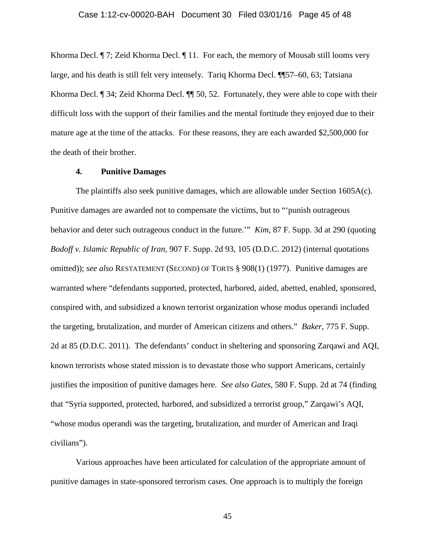# Case 1:12-cv-00020-BAH Document 30 Filed 03/01/16 Page 45 of 48

Khorma Decl. ¶ 7; Zeid Khorma Decl. ¶ 11. For each, the memory of Mousab still looms very large, and his death is still felt very intensely. Tariq Khorma Decl. ¶¶57–60, 63; Tatsiana Khorma Decl. ¶ 34; Zeid Khorma Decl. ¶¶ 50, 52. Fortunately, they were able to cope with their difficult loss with the support of their families and the mental fortitude they enjoyed due to their mature age at the time of the attacks. For these reasons, they are each awarded \$2,500,000 for the death of their brother.

# **4. Punitive Damages**

The plaintiffs also seek punitive damages, which are allowable under Section 1605A(c). Punitive damages are awarded not to compensate the victims, but to "'punish outrageous behavior and deter such outrageous conduct in the future.'" *Kim*, 87 F. Supp. 3d at 290 (quoting *Bodoff v. Islamic Republic of Iran*, 907 F. Supp. 2d 93, 105 (D.D.C. 2012) (internal quotations omitted)); *see also* RESTATEMENT (SECOND) OF TORTS § 908(1) (1977). Punitive damages are warranted where "defendants supported, protected, harbored, aided, abetted, enabled, sponsored, conspired with, and subsidized a known terrorist organization whose modus operandi included the targeting, brutalization, and murder of American citizens and others." *Baker*, 775 F. Supp. 2d at 85 (D.D.C. 2011). The defendants' conduct in sheltering and sponsoring Zarqawi and AQI, known terrorists whose stated mission is to devastate those who support Americans, certainly justifies the imposition of punitive damages here. *See also Gates*, 580 F. Supp. 2d at 74 (finding that "Syria supported, protected, harbored, and subsidized a terrorist group," Zarqawi's AQI, "whose modus operandi was the targeting, brutalization, and murder of American and Iraqi civilians").

Various approaches have been articulated for calculation of the appropriate amount of punitive damages in state-sponsored terrorism cases. One approach is to multiply the foreign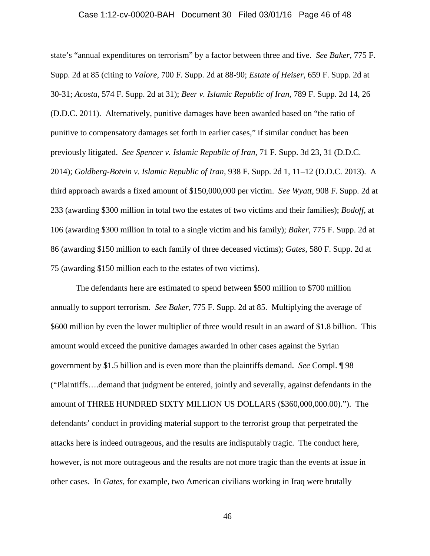#### Case 1:12-cv-00020-BAH Document 30 Filed 03/01/16 Page 46 of 48

state's "annual expenditures on terrorism" by a factor between three and five. *See Baker*, 775 F. Supp. 2d at 85 (citing to *Valore*, 700 F. Supp. 2d at 88-90; *Estate of Heiser*, 659 F. Supp. 2d at 30-31; *Acosta*, 574 F. Supp. 2d at 31); *Beer v. Islamic Republic of Iran*, 789 F. Supp. 2d 14, 26 (D.D.C. 2011). Alternatively, punitive damages have been awarded based on "the ratio of punitive to compensatory damages set forth in earlier cases," if similar conduct has been previously litigated. *See Spencer v. Islamic Republic of Iran*, 71 F. Supp. 3d 23, 31 (D.D.C. 2014); *Goldberg-Botvin v. Islamic Republic of Iran*, 938 F. Supp. 2d 1, 11–12 (D.D.C. 2013). A third approach awards a fixed amount of \$150,000,000 per victim. *See Wyatt*, 908 F. Supp. 2d at 233 (awarding \$300 million in total two the estates of two victims and their families); *Bodoff*, at 106 (awarding \$300 million in total to a single victim and his family); *Baker*, 775 F. Supp. 2d at 86 (awarding \$150 million to each family of three deceased victims); *Gates*, 580 F. Supp. 2d at 75 (awarding \$150 million each to the estates of two victims).

The defendants here are estimated to spend between \$500 million to \$700 million annually to support terrorism. *See Baker*, 775 F. Supp. 2d at 85. Multiplying the average of \$600 million by even the lower multiplier of three would result in an award of \$1.8 billion. This amount would exceed the punitive damages awarded in other cases against the Syrian government by \$1.5 billion and is even more than the plaintiffs demand. *See* Compl. ¶ 98 ("Plaintiffs….demand that judgment be entered, jointly and severally, against defendants in the amount of THREE HUNDRED SIXTY MILLION US DOLLARS (\$360,000,000.00)."). The defendants' conduct in providing material support to the terrorist group that perpetrated the attacks here is indeed outrageous, and the results are indisputably tragic. The conduct here, however, is not more outrageous and the results are not more tragic than the events at issue in other cases. In *Gates*, for example, two American civilians working in Iraq were brutally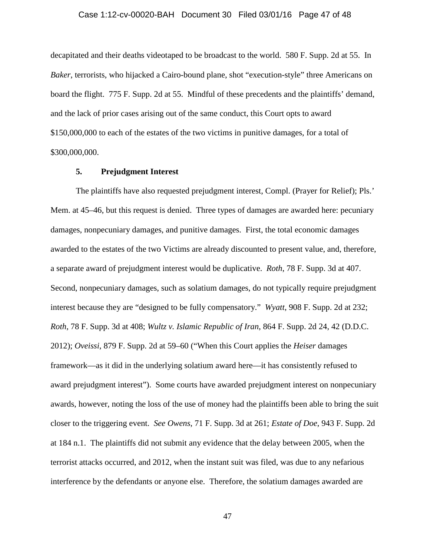#### Case 1:12-cv-00020-BAH Document 30 Filed 03/01/16 Page 47 of 48

decapitated and their deaths videotaped to be broadcast to the world. 580 F. Supp. 2d at 55. In *Baker*, terrorists, who hijacked a Cairo-bound plane, shot "execution-style" three Americans on board the flight. 775 F. Supp. 2d at 55. Mindful of these precedents and the plaintiffs' demand, and the lack of prior cases arising out of the same conduct, this Court opts to award \$150,000,000 to each of the estates of the two victims in punitive damages, for a total of \$300,000,000.

#### **5. Prejudgment Interest**

The plaintiffs have also requested prejudgment interest, Compl. (Prayer for Relief); Pls.' Mem. at 45–46, but this request is denied. Three types of damages are awarded here: pecuniary damages, nonpecuniary damages, and punitive damages. First, the total economic damages awarded to the estates of the two Victims are already discounted to present value, and, therefore, a separate award of prejudgment interest would be duplicative. *Roth*, 78 F. Supp. 3d at 407. Second, nonpecuniary damages, such as solatium damages, do not typically require prejudgment interest because they are "designed to be fully compensatory." *Wyatt*, 908 F. Supp. 2d at 232; *Roth*, 78 F. Supp. 3d at 408; *Wultz v. Islamic Republic of Iran*, 864 F. Supp. 2d 24, 42 (D.D.C. 2012); *Oveissi*, 879 F. Supp. 2d at 59–60 ("When this Court applies the *Heiser* damages framework—as it did in the underlying solatium award here—it has consistently refused to award prejudgment interest"). Some courts have awarded prejudgment interest on nonpecuniary awards, however, noting the loss of the use of money had the plaintiffs been able to bring the suit closer to the triggering event. *See Owens*, 71 F. Supp. 3d at 261; *Estate of Doe*, 943 F. Supp. 2d at 184 n.1. The plaintiffs did not submit any evidence that the delay between 2005, when the terrorist attacks occurred, and 2012, when the instant suit was filed, was due to any nefarious interference by the defendants or anyone else. Therefore, the solatium damages awarded are